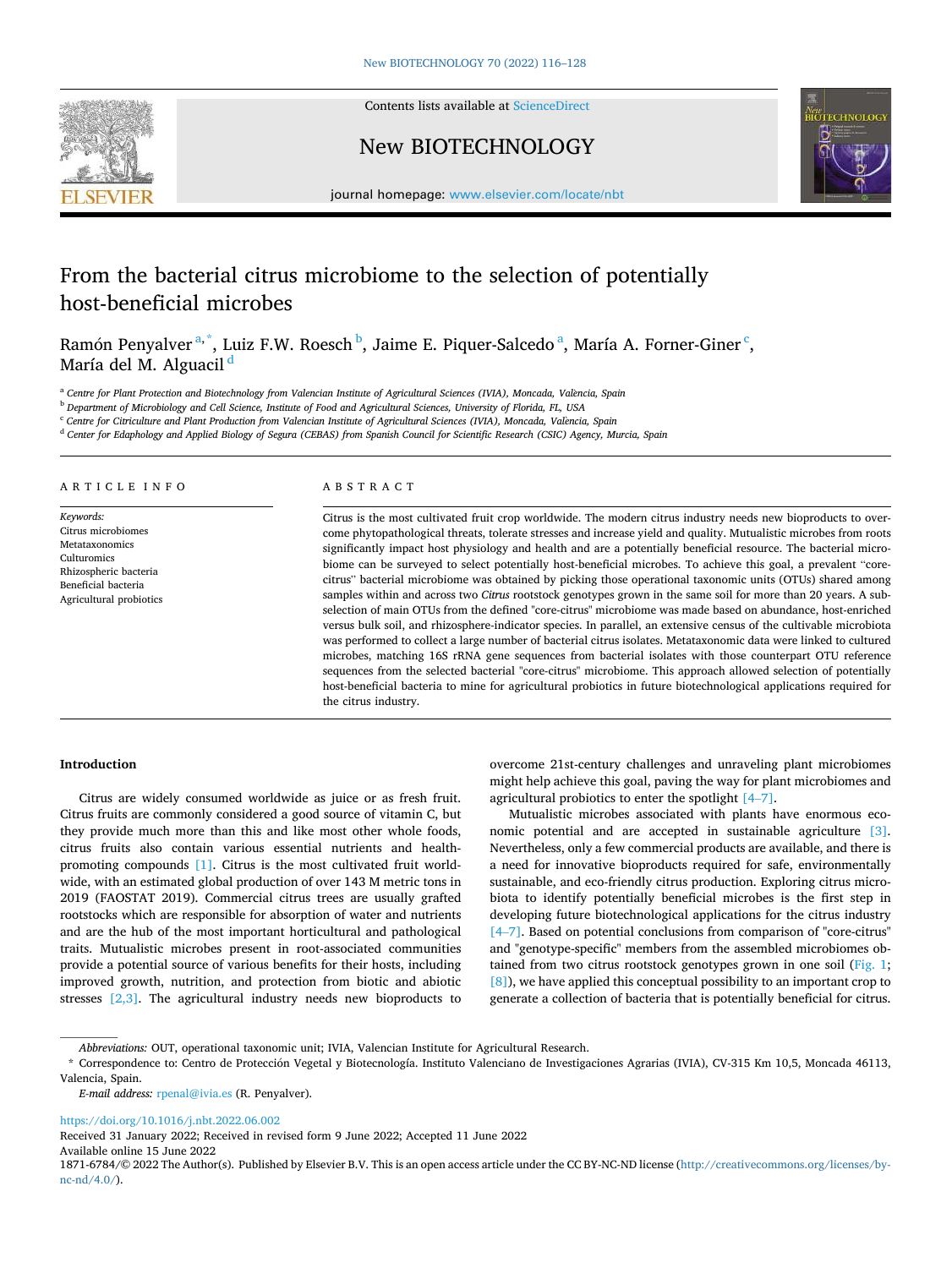

Contents lists available at [ScienceDirect](www.sciencedirect.com/science/journal/18716784)

## New BIOTECHNOLOGY



journal homepage: [www.elsevier.com/locate/nbt](https://www.elsevier.com/locate/nbt) 

# From the bacterial citrus microbiome to the selection of potentially host-beneficial microbes

Ramón Penyalver<sup>a,\*</sup>, Luiz F.W. Roesch <sup>b</sup>, Jaime E. Piquer-Salcedo <sup>a</sup>, María A. Forner-Giner <sup>c</sup>, María del M. Alguacil<sup>d</sup>

<sup>a</sup> Centre for Plant Protection and Biotechnology from Valencian Institute of Agricultural Sciences (IVIA), Moncada, València, Spain

<sup>b</sup> *Department of Microbiology and Cell Science, Institute of Food and Agricultural Sciences, University of Florida, FL, USA* 

<sup>c</sup> *Centre for Citriculture and Plant Production from Valencian Institute of Agricultural Sciences (IVIA), Moncada, Val*`*encia, Spain* 

<sup>d</sup> *Center for Edaphology and Applied Biology of Segura (CEBAS) from Spanish Council for Scientific Research (CSIC) Agency, Murcia, Spain* 

## ARTICLE INFO

*Keywords:*  Citrus microbiomes Metataxonomics Culturomics Rhizospheric bacteria Beneficial bacteria Agricultural probiotics

## ABSTRACT

Citrus is the most cultivated fruit crop worldwide. The modern citrus industry needs new bioproducts to overcome phytopathological threats, tolerate stresses and increase yield and quality. Mutualistic microbes from roots significantly impact host physiology and health and are a potentially beneficial resource. The bacterial microbiome can be surveyed to select potentially host-beneficial microbes. To achieve this goal, a prevalent "corecitrus" bacterial microbiome was obtained by picking those operational taxonomic units (OTUs) shared among samples within and across two *Citrus* rootstock genotypes grown in the same soil for more than 20 years. A subselection of main OTUs from the defined "core-citrus" microbiome was made based on abundance, host-enriched versus bulk soil, and rhizosphere-indicator species. In parallel, an extensive census of the cultivable microbiota was performed to collect a large number of bacterial citrus isolates. Metataxonomic data were linked to cultured microbes, matching 16S rRNA gene sequences from bacterial isolates with those counterpart OTU reference sequences from the selected bacterial "core-citrus" microbiome. This approach allowed selection of potentially host-beneficial bacteria to mine for agricultural probiotics in future biotechnological applications required for the citrus industry.

## **Introduction**

Citrus are widely consumed worldwide as juice or as fresh fruit. Citrus fruits are commonly considered a good source of vitamin C, but they provide much more than this and like most other whole foods, citrus fruits also contain various essential nutrients and healthpromoting compounds [\[1\]](#page-12-0). Citrus is the most cultivated fruit worldwide, with an estimated global production of over 143 M metric tons in 2019 (FAOSTAT 2019). Commercial citrus trees are usually grafted rootstocks which are responsible for absorption of water and nutrients and are the hub of the most important horticultural and pathological traits. Mutualistic microbes present in root-associated communities provide a potential source of various benefits for their hosts, including improved growth, nutrition, and protection from biotic and abiotic stresses [\[2,3\].](#page-12-0) The agricultural industry needs new bioproducts to

overcome 21st-century challenges and unraveling plant microbiomes might help achieve this goal, paving the way for plant microbiomes and agricultural probiotics to enter the spotlight [4–[7\]](#page-12-0).

Mutualistic microbes associated with plants have enormous economic potential and are accepted in sustainable agriculture [\[3\]](#page-12-0). Nevertheless, only a few commercial products are available, and there is a need for innovative bioproducts required for safe, environmentally sustainable, and eco-friendly citrus production. Exploring citrus microbiota to identify potentially beneficial microbes is the first step in developing future biotechnological applications for the citrus industry [4–[7\]](#page-12-0). Based on potential conclusions from comparison of "core-citrus" and "genotype-specific" members from the assembled microbiomes ob-tained from two citrus rootstock genotypes grown in one soil ([Fig. 1](#page-1-0); [\[8\]\)](#page-12-0), we have applied this conceptual possibility to an important crop to generate a collection of bacteria that is potentially beneficial for citrus.

*E-mail address:* [rpenal@ivia.es](mailto:rpenal@ivia.es) (R. Penyalver).

<https://doi.org/10.1016/j.nbt.2022.06.002>

Received 31 January 2022; Received in revised form 9 June 2022; Accepted 11 June 2022

Available online 15 June 2022

*Abbreviations:* OUT, operational taxonomic unit; IVIA, Valencian Institute for Agricultural Research.

<sup>\*</sup> Correspondence to: Centro de Proteccion ´ Vegetal y Biotecnología. Instituto Valenciano de Investigaciones Agrarias (IVIA), CV-315 Km 10,5, Moncada 46113, Valencia, Spain.

<sup>1871-6784/© 2022</sup> The Author(s). Published by Elsevier B.V. This is an open access article under the CC BY-NC-ND license([http://creativecommons.org/licenses/by](http://creativecommons.org/licenses/by-nc-nd/4.0/) $nc\text{-}nd/4.0/$ ).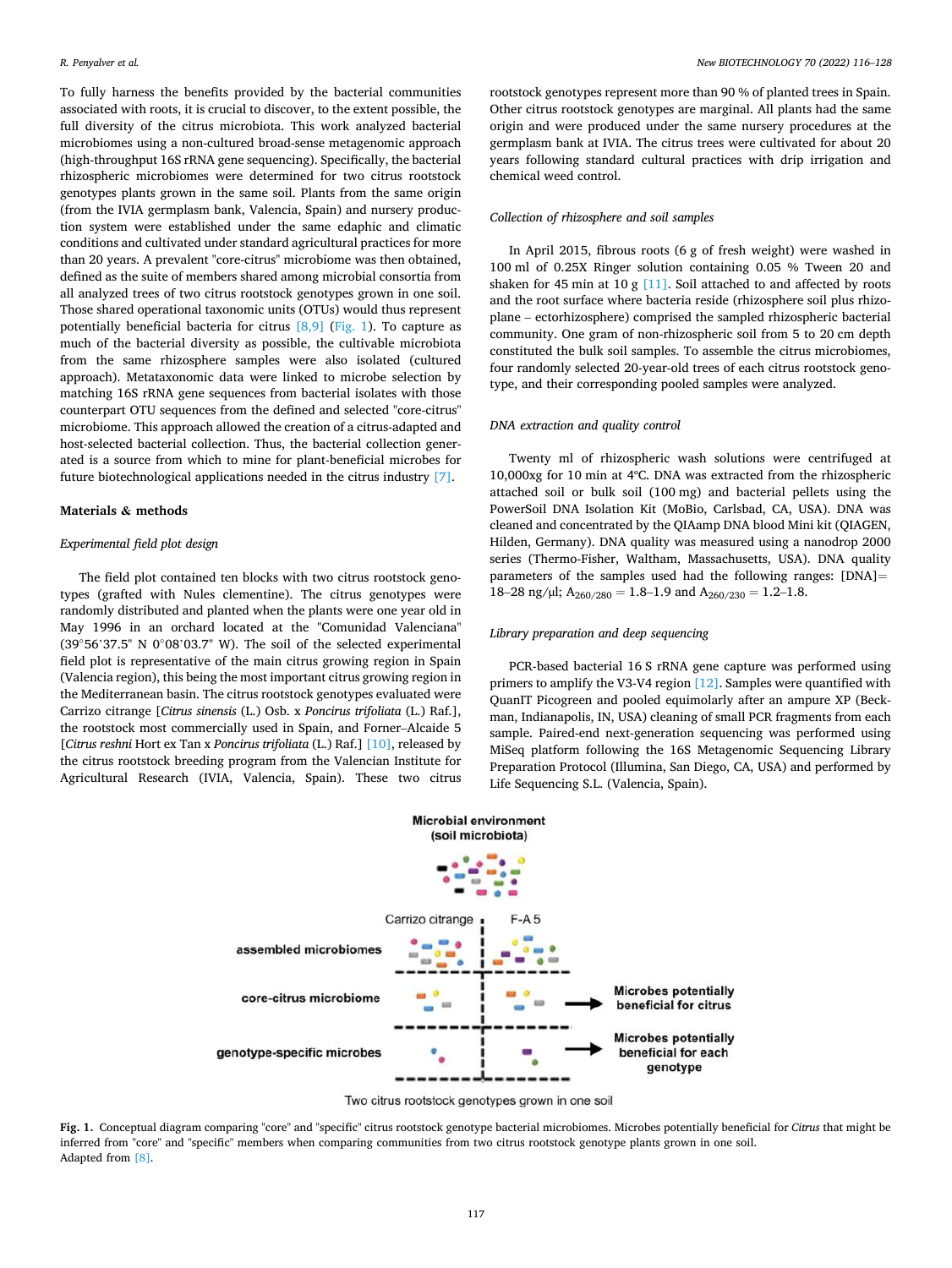<span id="page-1-0"></span>To fully harness the benefits provided by the bacterial communities associated with roots, it is crucial to discover, to the extent possible, the full diversity of the citrus microbiota. This work analyzed bacterial microbiomes using a non-cultured broad-sense metagenomic approach (high-throughput 16S rRNA gene sequencing). Specifically, the bacterial rhizospheric microbiomes were determined for two citrus rootstock genotypes plants grown in the same soil. Plants from the same origin (from the IVIA germplasm bank, Valencia, Spain) and nursery production system were established under the same edaphic and climatic conditions and cultivated under standard agricultural practices for more than 20 years. A prevalent "core-citrus" microbiome was then obtained, defined as the suite of members shared among microbial consortia from all analyzed trees of two citrus rootstock genotypes grown in one soil. Those shared operational taxonomic units (OTUs) would thus represent potentially beneficial bacteria for citrus  $[8,9]$  (Fig. 1). To capture as much of the bacterial diversity as possible, the cultivable microbiota from the same rhizosphere samples were also isolated (cultured approach). Metataxonomic data were linked to microbe selection by matching 16S rRNA gene sequences from bacterial isolates with those counterpart OTU sequences from the defined and selected "core-citrus" microbiome. This approach allowed the creation of a citrus-adapted and host-selected bacterial collection. Thus, the bacterial collection generated is a source from which to mine for plant-beneficial microbes for future biotechnological applications needed in the citrus industry [\[7\].](#page-12-0)

## **Materials & methods**

#### *Experimental field plot design*

The field plot contained ten blocks with two citrus rootstock genotypes (grafted with Nules clementine). The citrus genotypes were randomly distributed and planted when the plants were one year old in May 1996 in an orchard located at the "Comunidad Valenciana" (39◦56'37.5" N 0◦08'03.7" W). The soil of the selected experimental field plot is representative of the main citrus growing region in Spain (Valencia region), this being the most important citrus growing region in the Mediterranean basin. The citrus rootstock genotypes evaluated were Carrizo citrange [*Citrus sinensis* (L.) Osb. x *Poncirus trifoliata* (L.) Raf.], the rootstock most commercially used in Spain, and Forner–Alcaide 5 [*Citrus reshni* Hort ex Tan x *Poncirus trifoliata* (L.) Raf.] [\[10\],](#page-12-0) released by the citrus rootstock breeding program from the Valencian Institute for Agricultural Research (IVIA, Valencia, Spain). These two citrus

rootstock genotypes represent more than 90 % of planted trees in Spain. Other citrus rootstock genotypes are marginal. All plants had the same origin and were produced under the same nursery procedures at the germplasm bank at IVIA. The citrus trees were cultivated for about 20 years following standard cultural practices with drip irrigation and chemical weed control.

#### *Collection of rhizosphere and soil samples*

In April 2015, fibrous roots (6 g of fresh weight) were washed in 100 ml of 0.25X Ringer solution containing 0.05 % Tween 20 and shaken for 45 min at 10 g [\[11\].](#page-12-0) Soil attached to and affected by roots and the root surface where bacteria reside (rhizosphere soil plus rhizoplane – ectorhizosphere) comprised the sampled rhizospheric bacterial community. One gram of non-rhizospheric soil from 5 to 20 cm depth constituted the bulk soil samples. To assemble the citrus microbiomes, four randomly selected 20-year-old trees of each citrus rootstock genotype, and their corresponding pooled samples were analyzed.

#### *DNA extraction and quality control*

Twenty ml of rhizospheric wash solutions were centrifuged at 10,000xg for 10 min at 4ºC. DNA was extracted from the rhizospheric attached soil or bulk soil (100 mg) and bacterial pellets using the PowerSoil DNA Isolation Kit (MoBio, Carlsbad, CA, USA). DNA was cleaned and concentrated by the QIAamp DNA blood Mini kit (QIAGEN, Hilden, Germany). DNA quality was measured using a nanodrop 2000 series (Thermo-Fisher, Waltham, Massachusetts, USA). DNA quality parameters of the samples used had the following ranges: [DNA]= 18–28 ng/µl;  $A_{260/280} = 1.8$ –1.9 and  $A_{260/230} = 1.2$ –1.8.

#### *Library preparation and deep sequencing*

PCR-based bacterial 16 S rRNA gene capture was performed using primers to amplify the V3-V4 region [\[12\]](#page-12-0). Samples were quantified with QuanIT Picogreen and pooled equimolarly after an ampure XP (Beckman, Indianapolis, IN, USA) cleaning of small PCR fragments from each sample. Paired-end next-generation sequencing was performed using MiSeq platform following the 16S Metagenomic Sequencing Library Preparation Protocol (Illumina, San Diego, CA, USA) and performed by Life Sequencing S.L. (Valencia, Spain).



Two citrus rootstock genotypes grown in one soil

**Fig. 1.** Conceptual diagram comparing "core" and "specific" citrus rootstock genotype bacterial microbiomes. Microbes potentially beneficial for *Citrus* that might be inferred from "core" and "specific" members when comparing communities from two citrus rootstock genotype plants grown in one soil. Adapted from [\[8\]](#page-12-0).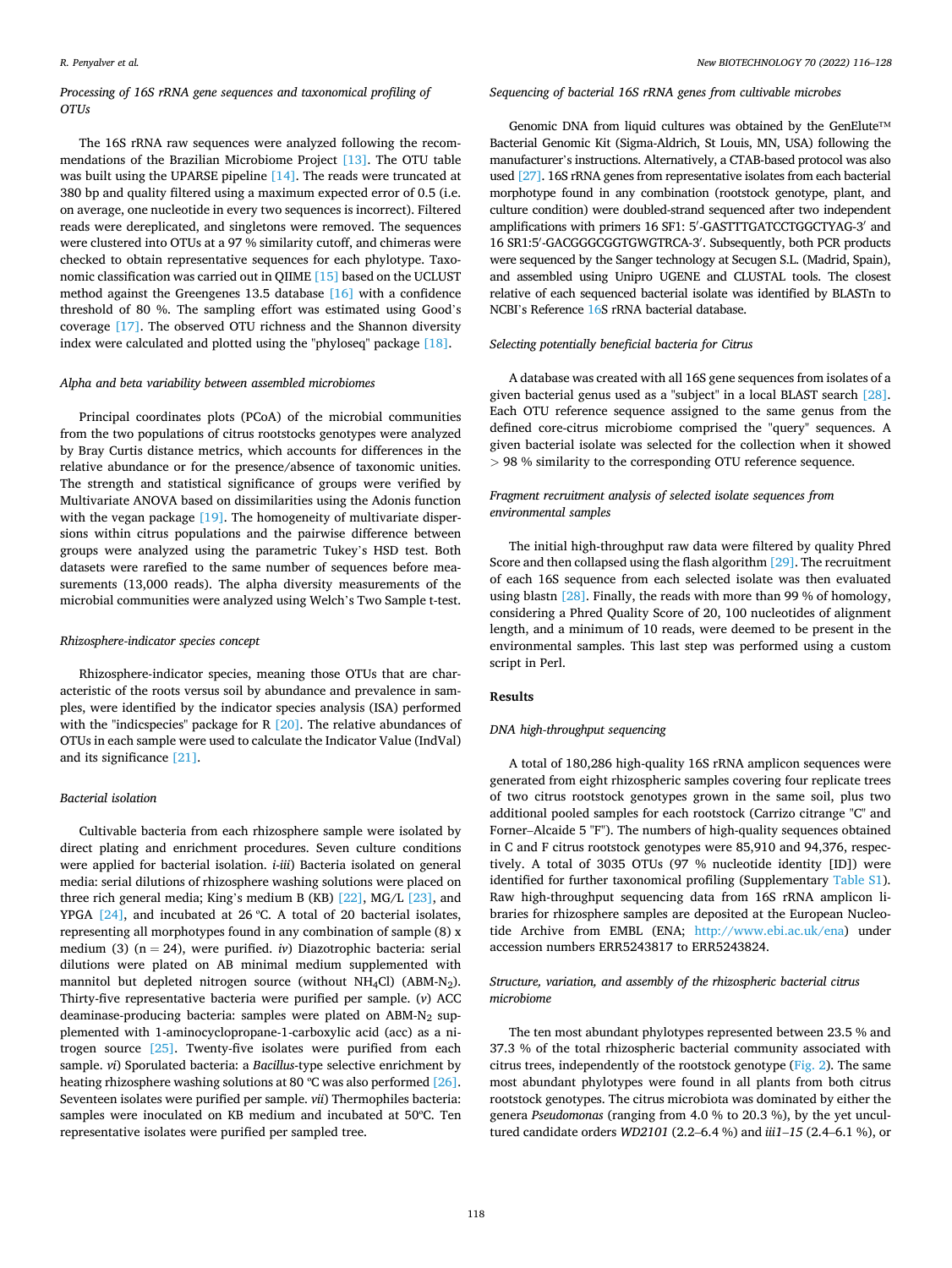## *Processing of 16S rRNA gene sequences and taxonomical profiling of OTUs*

The 16S rRNA raw sequences were analyzed following the recommendations of the Brazilian Microbiome Project [\[13\].](#page-12-0) The OTU table was built using the UPARSE pipeline [\[14\]](#page-12-0). The reads were truncated at 380 bp and quality filtered using a maximum expected error of 0.5 (i.e. on average, one nucleotide in every two sequences is incorrect). Filtered reads were dereplicated, and singletons were removed. The sequences were clustered into OTUs at a 97 % similarity cutoff, and chimeras were checked to obtain representative sequences for each phylotype. Taxonomic classification was carried out in QIIME [\[15\]](#page-12-0) based on the UCLUST method against the Greengenes 13.5 database [\[16\]](#page-12-0) with a confidence threshold of 80 %. The sampling effort was estimated using Good's coverage [\[17\].](#page-12-0) The observed OTU richness and the Shannon diversity index were calculated and plotted using the "phyloseq" package [\[18\].](#page-12-0)

## *Alpha and beta variability between assembled microbiomes*

Principal coordinates plots (PCoA) of the microbial communities from the two populations of citrus rootstocks genotypes were analyzed by Bray Curtis distance metrics, which accounts for differences in the relative abundance or for the presence/absence of taxonomic unities. The strength and statistical significance of groups were verified by Multivariate ANOVA based on dissimilarities using the Adonis function with the vegan package [\[19\]](#page-12-0). The homogeneity of multivariate dispersions within citrus populations and the pairwise difference between groups were analyzed using the parametric Tukey's HSD test. Both datasets were rarefied to the same number of sequences before measurements (13,000 reads). The alpha diversity measurements of the microbial communities were analyzed using Welch's Two Sample t-test.

#### *Rhizosphere-indicator species concept*

Rhizosphere-indicator species, meaning those OTUs that are characteristic of the roots versus soil by abundance and prevalence in samples, were identified by the indicator species analysis (ISA) performed with the "indicspecies" package for R [\[20\].](#page-12-0) The relative abundances of OTUs in each sample were used to calculate the Indicator Value (IndVal) and its significance [\[21\]](#page-12-0).

## *Bacterial isolation*

Cultivable bacteria from each rhizosphere sample were isolated by direct plating and enrichment procedures. Seven culture conditions were applied for bacterial isolation. *i*-*iii*) Bacteria isolated on general media: serial dilutions of rhizosphere washing solutions were placed on three rich general media; King's medium B (KB) [\[22\]](#page-12-0), MG/L [\[23\],](#page-12-0) and YPGA [\[24\]](#page-12-0), and incubated at 26 ºC. A total of 20 bacterial isolates, representing all morphotypes found in any combination of sample (8) x medium (3) (n = 24), were purified. *iv*) Diazotrophic bacteria: serial dilutions were plated on AB minimal medium supplemented with mannitol but depleted nitrogen source (without NH<sub>4</sub>Cl) (ABM-N<sub>2</sub>). Thirty-five representative bacteria were purified per sample. (*v*) ACC deaminase-producing bacteria: samples were plated on  $ABM-N<sub>2</sub>$  supplemented with 1-aminocyclopropane-1-carboxylic acid (acc) as a nitrogen source [\[25\]](#page-12-0). Twenty-five isolates were purified from each sample. *vi*) Sporulated bacteria: a *Bacillus*-type selective enrichment by heating rhizosphere washing solutions at 80 °C was also performed [\[26\]](#page-12-0). Seventeen isolates were purified per sample. *vii*) Thermophiles bacteria: samples were inoculated on KB medium and incubated at 50ºC. Ten representative isolates were purified per sampled tree.

## *Sequencing of bacterial 16S rRNA genes from cultivable microbes*

Genomic DNA from liquid cultures was obtained by the GenElute™ Bacterial Genomic Kit (Sigma-Aldrich, St Louis, MN, USA) following the manufacturer's instructions. Alternatively, a CTAB-based protocol was also used [\[27\].](#page-12-0) 16S rRNA genes from representative isolates from each bacterial morphotype found in any combination (rootstock genotype, plant, and culture condition) were doubled-strand sequenced after two independent amplifications with primers 16 SF1: 5′ -GASTTTGATCCTGGCTYAG-3′ and 16 SR1:5′ -GACGGGCGGTGWGTRCA-3′ . Subsequently, both PCR products were sequenced by the Sanger technology at Secugen S.L. (Madrid, Spain), and assembled using Unipro UGENE and CLUSTAL tools. The closest relative of each sequenced bacterial isolate was identified by BLASTn to NCBI's Reference [16](#page-12-0)S rRNA bacterial database.

#### *Selecting potentially beneficial bacteria for Citrus*

A database was created with all 16S gene sequences from isolates of a given bacterial genus used as a "subject" in a local BLAST search [\[28\]](#page-12-0). Each OTU reference sequence assigned to the same genus from the defined core-citrus microbiome comprised the "query" sequences. A given bacterial isolate was selected for the collection when it showed *>* 98 % similarity to the corresponding OTU reference sequence.

## *Fragment recruitment analysis of selected isolate sequences from environmental samples*

The initial high-throughput raw data were filtered by quality Phred Score and then collapsed using the flash algorithm [\[29\]](#page-12-0). The recruitment of each 16S sequence from each selected isolate was then evaluated using blastn [\[28\].](#page-12-0) Finally, the reads with more than 99 % of homology, considering a Phred Quality Score of 20, 100 nucleotides of alignment length, and a minimum of 10 reads, were deemed to be present in the environmental samples. This last step was performed using a custom script in Perl.

#### **Results**

#### *DNA high-throughput sequencing*

A total of 180,286 high-quality 16S rRNA amplicon sequences were generated from eight rhizospheric samples covering four replicate trees of two citrus rootstock genotypes grown in the same soil, plus two additional pooled samples for each rootstock (Carrizo citrange "C" and Forner–Alcaide 5 "F"). The numbers of high-quality sequences obtained in C and F citrus rootstock genotypes were 85,910 and 94,376, respectively. A total of 3035 OTUs (97 % nucleotide identity [ID]) were identified for further taxonomical profiling (Supplementary Table S1). Raw high-throughput sequencing data from 16S rRNA amplicon libraries for rhizosphere samples are deposited at the European Nucleotide Archive from EMBL (ENA; <http://www.ebi.ac.uk/ena>) under accession numbers ERR5243817 to ERR5243824.

## *Structure, variation, and assembly of the rhizospheric bacterial citrus microbiome*

The ten most abundant phylotypes represented between 23.5 % and 37.3 % of the total rhizospheric bacterial community associated with citrus trees, independently of the rootstock genotype [\(Fig. 2\)](#page-3-0). The same most abundant phylotypes were found in all plants from both citrus rootstock genotypes. The citrus microbiota was dominated by either the genera *Pseudomonas* (ranging from 4.0 % to 20.3 %), by the yet uncultured candidate orders *WD2101* (2.2–6.4 %) and *iii1*–*15* (2.4–6.1 %), or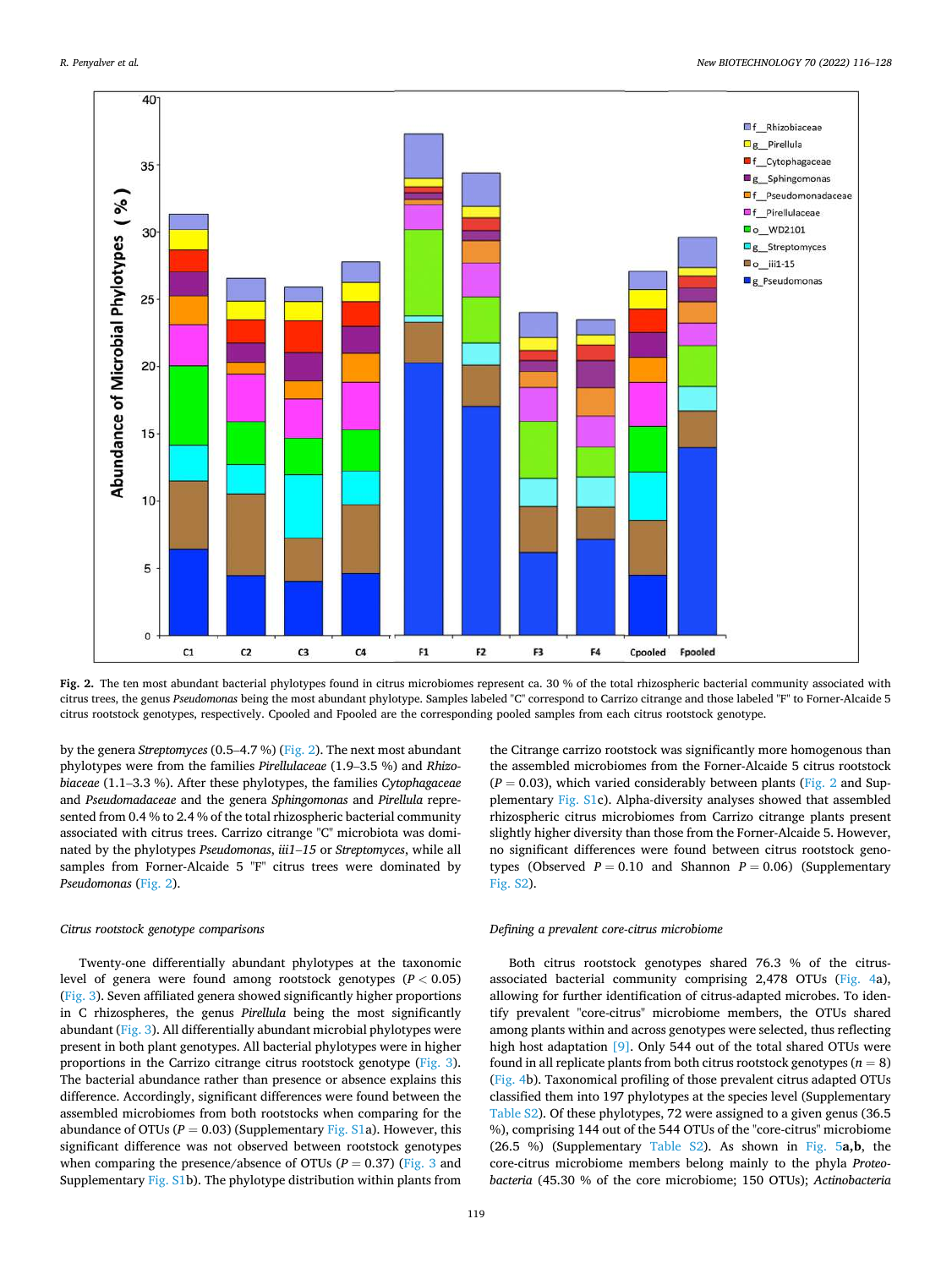<span id="page-3-0"></span>

**Fig. 2.** The ten most abundant bacterial phylotypes found in citrus microbiomes represent ca. 30 % of the total rhizospheric bacterial community associated with citrus trees, the genus *Pseudomonas* being the most abundant phylotype. Samples labeled "C" correspond to Carrizo citrange and those labeled "F" to Forner-Alcaide 5 citrus rootstock genotypes, respectively. Cpooled and Fpooled are the corresponding pooled samples from each citrus rootstock genotype.

by the genera *Streptomyces* (0.5–4.7 %) (Fig. 2). The next most abundant phylotypes were from the families *Pirellulaceae* (1.9–3.5 %) and *Rhizobiaceae* (1.1–3.3 %). After these phylotypes, the families *Cytophagaceae*  and *Pseudomadaceae* and the genera *Sphingomonas* and *Pirellula* represented from 0.4 % to 2.4 % of the total rhizospheric bacterial community associated with citrus trees. Carrizo citrange "C" microbiota was dominated by the phylotypes *Pseudomonas*, *iii1*–*15* or *Streptomyces*, while all samples from Forner-Alcaide 5 "F" citrus trees were dominated by *Pseudomonas* (Fig. 2).

#### *Citrus rootstock genotype comparisons*

Twenty-one differentially abundant phylotypes at the taxonomic level of genera were found among rootstock genotypes (*P <* 0.05) ([Fig. 3](#page-4-0)). Seven affiliated genera showed significantly higher proportions in C rhizospheres, the genus *Pirellula* being the most significantly abundant ([Fig. 3\)](#page-4-0). All differentially abundant microbial phylotypes were present in both plant genotypes. All bacterial phylotypes were in higher proportions in the Carrizo citrange citrus rootstock genotype ([Fig. 3](#page-4-0)). The bacterial abundance rather than presence or absence explains this difference. Accordingly, significant differences were found between the assembled microbiomes from both rootstocks when comparing for the abundance of OTUs ( $P = 0.03$ ) (Supplementary Fig. S1a). However, this significant difference was not observed between rootstock genotypes when comparing the presence/absence of OTUs ( $P = 0.37$ ) ([Fig. 3](#page-4-0) and Supplementary Fig. S1b). The phylotype distribution within plants from

the Citrange carrizo rootstock was significantly more homogenous than the assembled microbiomes from the Forner-Alcaide 5 citrus rootstock  $(P = 0.03)$ , which varied considerably between plants (Fig. 2 and Supplementary Fig. S1c). Alpha-diversity analyses showed that assembled rhizospheric citrus microbiomes from Carrizo citrange plants present slightly higher diversity than those from the Forner-Alcaide 5. However, no significant differences were found between citrus rootstock genotypes (Observed  $P = 0.10$  and Shannon  $P = 0.06$ ) (Supplementary Fig. S2).

#### *Defining a prevalent core-citrus microbiome*

Both citrus rootstock genotypes shared 76.3 % of the citrusassociated bacterial community comprising 2,478 OTUs ([Fig. 4](#page-5-0)a), allowing for further identification of citrus-adapted microbes. To identify prevalent "core-citrus" microbiome members, the OTUs shared among plants within and across genotypes were selected, thus reflecting high host adaptation [\[9\]](#page-12-0). Only 544 out of the total shared OTUs were found in all replicate plants from both citrus rootstock genotypes  $(n = 8)$ ([Fig. 4](#page-5-0)b). Taxonomical profiling of those prevalent citrus adapted OTUs classified them into 197 phylotypes at the species level (Supplementary Table S2). Of these phylotypes, 72 were assigned to a given genus (36.5 %), comprising 144 out of the 544 OTUs of the "core-citrus" microbiome (26.5 %) (Supplementary Table S2). As shown in [Fig. 5](#page-5-0)**a,b**, the core-citrus microbiome members belong mainly to the phyla *Proteobacteria* (45.30 % of the core microbiome; 150 OTUs); *Actinobacteria*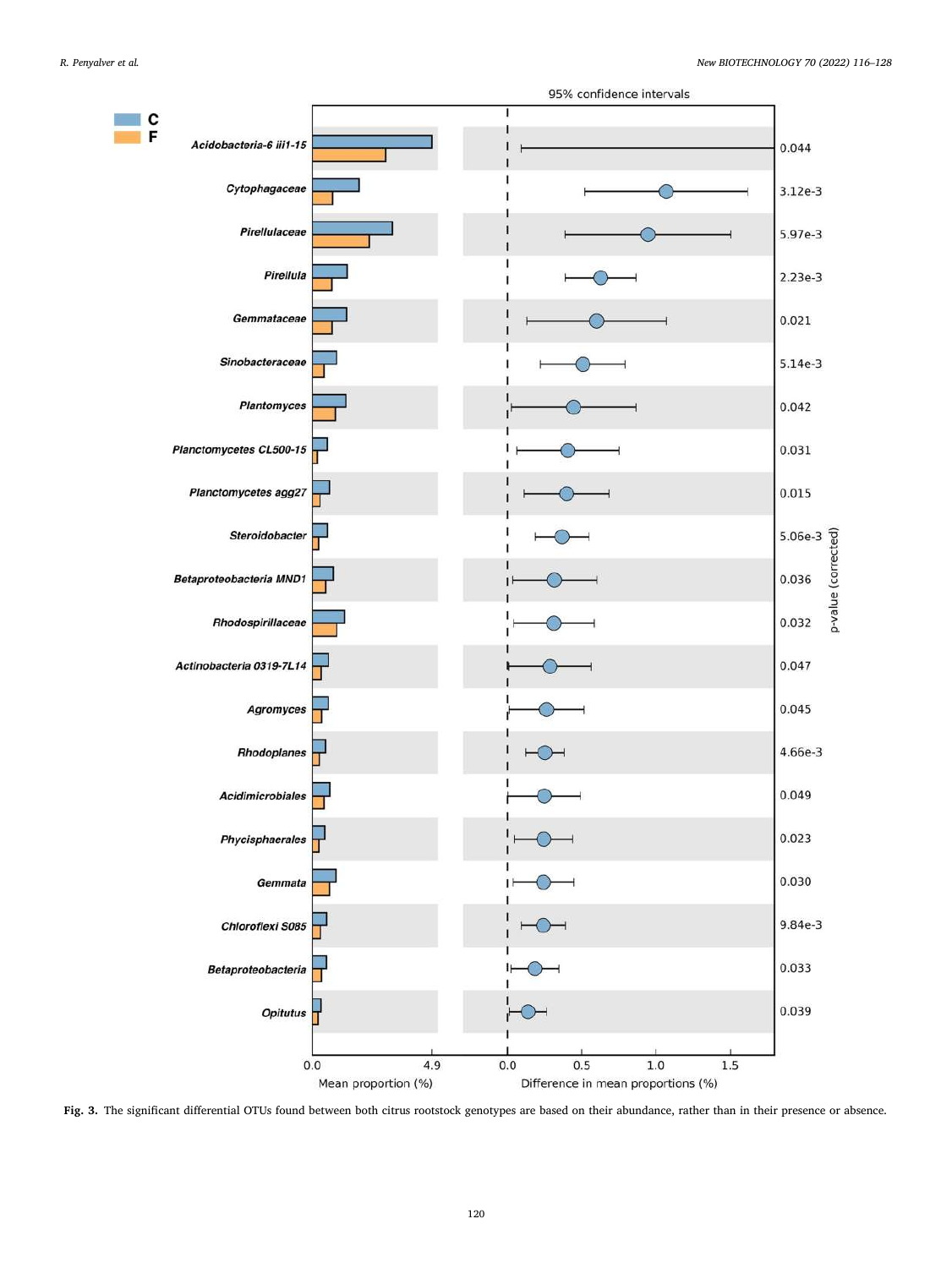<span id="page-4-0"></span>

**Fig. 3.** The significant differential OTUs found between both citrus rootstock genotypes are based on their abundance, rather than in their presence or absence.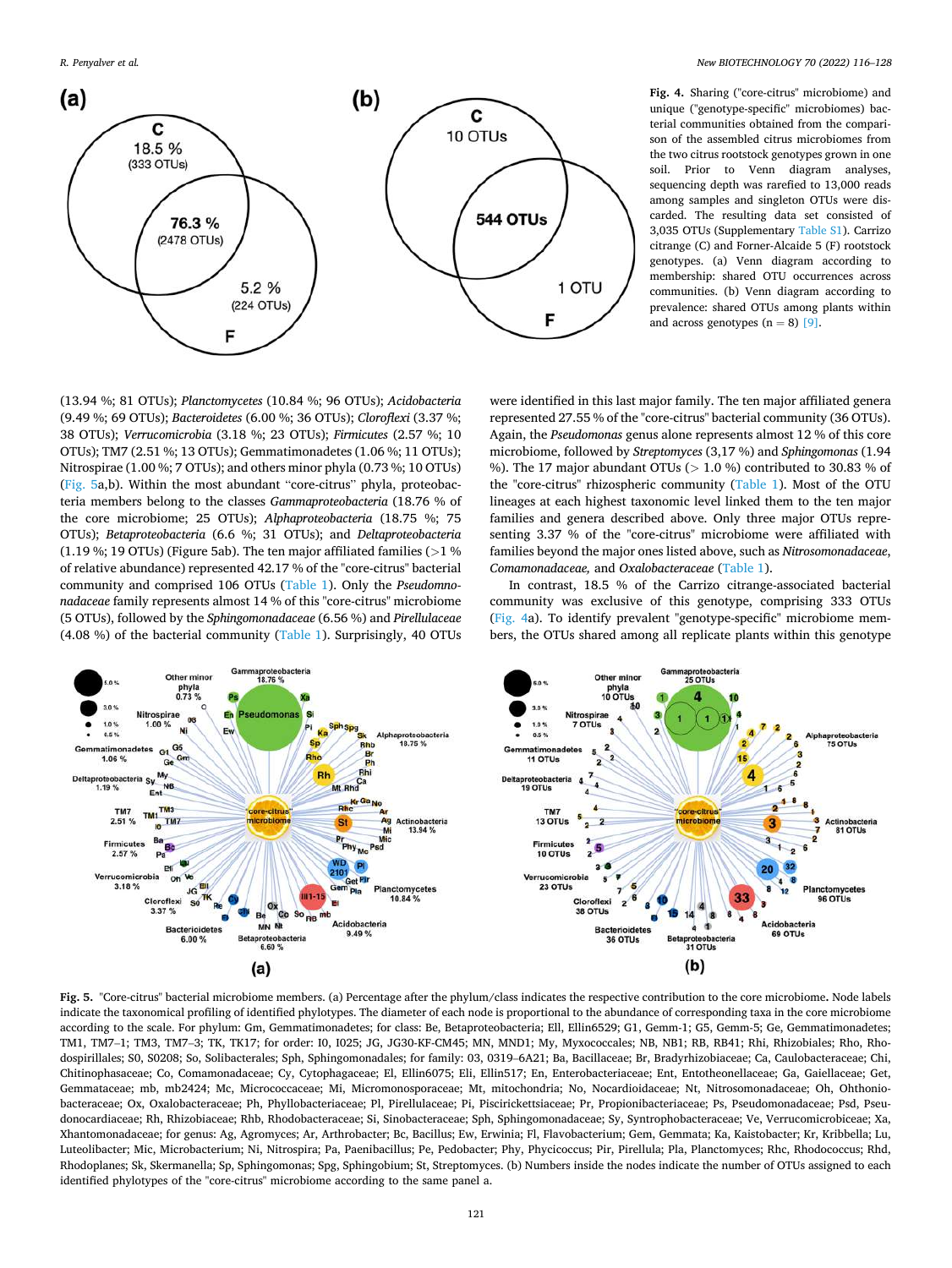<span id="page-5-0"></span>*R. Penyalver et al.* 



**Fig. 4.** Sharing ("core-citrus" microbiome) and unique ("genotype-specific" microbiomes) bacterial communities obtained from the comparison of the assembled citrus microbiomes from the two citrus rootstock genotypes grown in one soil. Prior to Venn diagram analyses, sequencing depth was rarefied to 13,000 reads among samples and singleton OTUs were discarded. The resulting data set consisted of 3,035 OTUs (Supplementary Table S1). Carrizo citrange (C) and Forner-Alcaide 5 (F) rootstock genotypes. (a) Venn diagram according to membership: shared OTU occurrences across communities. (b) Venn diagram according to prevalence: shared OTUs among plants within and across genotypes  $(n = 8)$  [\[9\]](#page-12-0).

(13.94 %; 81 OTUs); *Planctomycetes* (10.84 %; 96 OTUs); *Acidobacteria*  (9.49 %; 69 OTUs); *Bacteroidetes* (6.00 %; 36 OTUs); *Cloroflexi* (3.37 %; 38 OTUs); *Verrucomicrobia* (3.18 %; 23 OTUs); *Firmicutes* (2.57 %; 10 OTUs); TM7 (2.51 %; 13 OTUs); Gemmatimonadetes (1.06 %; 11 OTUs); Nitrospirae (1.00 %; 7 OTUs); and others minor phyla (0.73 %; 10 OTUs) (Fig. 5a,b). Within the most abundant "core-citrus" phyla, proteobacteria members belong to the classes *Gammaproteobacteria* (18.76 % of the core microbiome; 25 OTUs); *Alphaproteobacteria* (18.75 %; 75 OTUs); *Betaproteobacteria* (6.6 %; 31 OTUs); and *Deltaproteobacteria*  (1.19 %; 19 OTUs) (Figure 5ab). The ten major affiliated families (*>*1 % of relative abundance) represented 42.17 % of the "core-citrus" bacterial community and comprised 106 OTUs ([Table 1\)](#page-6-0). Only the *Pseudomnonadaceae* family represents almost 14 % of this "core-citrus" microbiome (5 OTUs), followed by the *Sphingomonadaceae* (6.56 %) and *Pirellulaceae*  (4.08 %) of the bacterial community ([Table 1\)](#page-6-0). Surprisingly, 40 OTUs were identified in this last major family. The ten major affiliated genera represented 27.55 % of the "core-citrus" bacterial community (36 OTUs). Again, the *Pseudomonas* genus alone represents almost 12 % of this core microbiome, followed by *Streptomyces* (3,17 %) and *Sphingomonas* (1.94 %). The 17 major abundant OTUs (*>* 1.0 %) contributed to 30.83 % of the "core-citrus" rhizospheric community [\(Table 1\)](#page-6-0). Most of the OTU lineages at each highest taxonomic level linked them to the ten major families and genera described above. Only three major OTUs representing 3.37 % of the "core-citrus" microbiome were affiliated with families beyond the major ones listed above, such as *Nitrosomonadaceae*, *Comamonadaceae,* and *Oxalobacteraceae* [\(Table 1\)](#page-6-0).

In contrast, 18.5 % of the Carrizo citrange-associated bacterial community was exclusive of this genotype, comprising 333 OTUs (Fig. 4a). To identify prevalent "genotype-specific" microbiome members, the OTUs shared among all replicate plants within this genotype



**Fig. 5.** "Core-citrus" bacterial microbiome members. (a) Percentage after the phylum/class indicates the respective contribution to the core microbiome**.** Node labels indicate the taxonomical profiling of identified phylotypes. The diameter of each node is proportional to the abundance of corresponding taxa in the core microbiome according to the scale. For phylum: Gm, Gemmatimonadetes; for class: Be, Betaproteobacteria; Ell, Ellin6529; G1, Gemm-1; G5, Gemm-5; Ge, Gemmatimonadetes; TM1, TM7–1; TM3, TM7–3; TK, TK17; for order: I0, I025; JG, JG30-KF-CM45; MN, MND1; My, Myxococcales; NB, NB1; RB, RB41; Rhi, Rhizobiales; Rho, Rhodospirillales; S0, S0208; So, Solibacterales; Sph, Sphingomonadales; for family: 03, 0319–6A21; Ba, Bacillaceae; Br, Bradyrhizobiaceae; Ca, Caulobacteraceae; Chi, Chitinophasaceae; Co, Comamonadaceae; Cy, Cytophagaceae; El, Ellin6075; Eli, Ellin517; En, Enterobacteriaceae; Ent, Entotheonellaceae; Ga, Gaiellaceae; Get, Gemmataceae; mb, mb2424; Mc, Micrococcaceae; Mi, Micromonosporaceae; Mt, mitochondria; No, Nocardioidaceae; Nt, Nitrosomonadaceae; Oh, Ohthoniobacteraceae; Ox, Oxalobacteraceae; Ph, Phyllobacteriaceae; Pl, Pirellulaceae; Pi, Piscirickettsiaceae; Pr, Propionibacteriaceae; Ps, Pseudomonadaceae; Psd, Pseudonocardiaceae; Rh, Rhizobiaceae; Rhb, Rhodobacteraceae; Si, Sinobacteraceae; Sph, Sphingomonadaceae; Sy, Syntrophobacteraceae; Ve, Verrucomicrobiceae; Xa, Xhantomonadaceae; for genus: Ag, Agromyces; Ar, Arthrobacter; Bc, Bacillus; Ew, Erwinia; Fl, Flavobacterium; Gem, Gemmata; Ka, Kaistobacter; Kr, Kribbella; Lu, Luteolibacter; Mic, Microbacterium; Ni, Nitrospira; Pa, Paenibacillus; Pe, Pedobacter; Phy, Phycicoccus; Pir, Pirellula; Pla, Planctomyces; Rhc, Rhodococcus; Rhd, Rhodoplanes; Sk, Skermanella; Sp, Sphingomonas; Spg, Sphingobium; St, Streptomyces. (b) Numbers inside the nodes indicate the number of OTUs assigned to each identified phylotypes of the "core-citrus" microbiome according to the same panel a.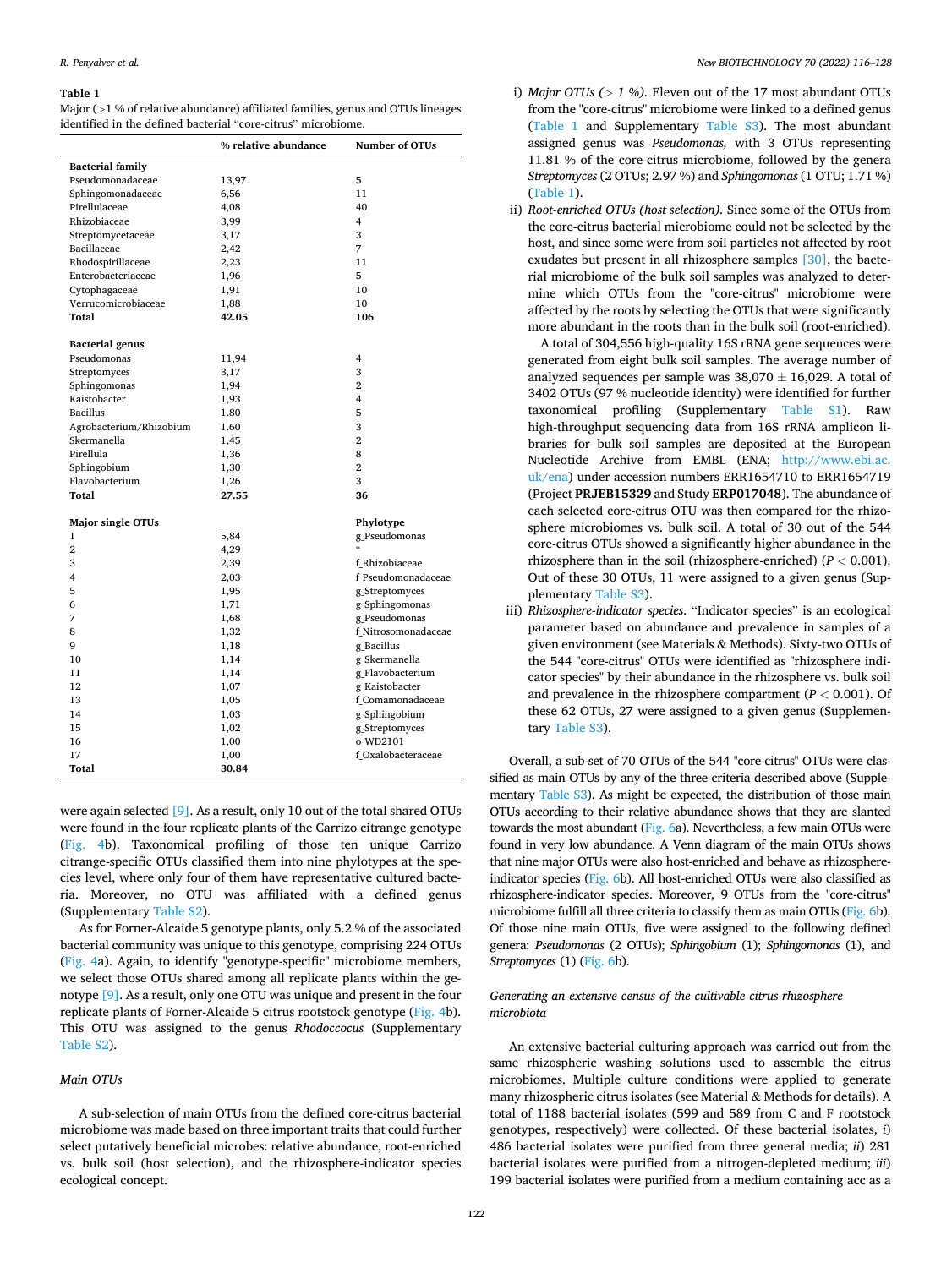#### <span id="page-6-0"></span>**Table 1**

Major (*>*1 % of relative abundance) affiliated families, genus and OTUs lineages identified in the defined bacterial "core-citrus" microbiome.

|                         | % relative abundance | <b>Number of OTUs</b> |
|-------------------------|----------------------|-----------------------|
| <b>Bacterial family</b> |                      |                       |
| Pseudomonadaceae        | 13,97                | 5                     |
| Sphingomonadaceae       | 6,56                 | 11                    |
| Pirellulaceae           | 4,08                 | 40                    |
| Rhizobiaceae            | 3,99                 | 4                     |
| Streptomycetaceae       | 3,17                 | 3                     |
| Bacillaceae             | 2,42                 | 7                     |
| Rhodospirillaceae       | 2,23                 | 11                    |
| Enterobacteriaceae      | 1,96                 | 5                     |
| Cytophagaceae           | 1,91                 | 10                    |
| Verrucomicrobiaceae     | 1,88                 | 10                    |
| Total                   | 42.05                | 106                   |
| <b>Bacterial</b> genus  |                      |                       |
| Pseudomonas             | 11,94                | 4                     |
| Streptomyces            | 3,17                 | 3                     |
| Sphingomonas            | 1,94                 | 2                     |
| Kaistobacter            | 1,93                 | 4                     |
| <b>Bacillus</b>         | 1.80                 | 5                     |
| Agrobacterium/Rhizobium | 1.60                 | 3                     |
| Skermanella             | 1,45                 | $\overline{2}$        |
| Pirellula               | 1,36                 | 8                     |
| Sphingobium             | 1,30                 | $\overline{2}$        |
| Flavobacterium          | 1,26                 | 3                     |
| Total                   | 27.55                | 36                    |
| Major single OTUs       |                      | Phylotype             |
| 1                       | 5,84                 | g_Pseudomonas         |
| $\overline{2}$          | 4,29                 | $\epsilon$            |
| 3                       | 2,39                 | f Rhizobiaceae        |
| 4                       | 2,03                 | f Pseudomonadaceae    |
| 5                       | 1,95                 | g_Streptomyces        |
| 6                       | 1,71                 | g_Sphingomonas        |
| 7                       | 1,68                 | g_Pseudomonas         |
| 8                       | 1,32                 | f Nitrosomonadaceae   |
| 9                       | 1,18                 | g_Bacillus            |
| 10                      | 1,14                 | g_Skermanella         |
| 11                      | 1,14                 | g Flavobacterium      |
| 12                      | 1,07                 | g Kaistobacter        |
| 13                      | 1,05                 | f Comamonadaceae      |
| 14                      | 1,03                 | g_Sphingobium         |
| 15                      | 1,02                 | g_Streptomyces        |
| 16                      | 1,00                 | o WD2101              |
| 17                      | 1,00                 | f_Oxalobacteraceae    |
| <b>Total</b>            | 30.84                |                       |

were again selected [\[9\].](#page-12-0) As a result, only 10 out of the total shared OTUs were found in the four replicate plants of the Carrizo citrange genotype ([Fig. 4b](#page-5-0)). Taxonomical profiling of those ten unique Carrizo citrange-specific OTUs classified them into nine phylotypes at the species level, where only four of them have representative cultured bacteria. Moreover, no OTU was affiliated with a defined genus (Supplementary Table S2).

As for Forner-Alcaide 5 genotype plants, only 5.2 % of the associated bacterial community was unique to this genotype, comprising 224 OTUs ([Fig. 4](#page-5-0)a). Again, to identify "genotype-specific" microbiome members, we select those OTUs shared among all replicate plants within the genotype [\[9\].](#page-12-0) As a result, only one OTU was unique and present in the four replicate plants of Forner-Alcaide 5 citrus rootstock genotype [\(Fig. 4b](#page-5-0)). This OTU was assigned to the genus *Rhodoccocus* (Supplementary Table S2).

#### *Main OTUs*

A sub-selection of main OTUs from the defined core-citrus bacterial microbiome was made based on three important traits that could further select putatively beneficial microbes: relative abundance, root-enriched vs. bulk soil (host selection), and the rhizosphere-indicator species ecological concept.

- i) *Major OTUs (* $> 1$  *%)*. Eleven out of the 17 most abundant OTUs from the "core-citrus" microbiome were linked to a defined genus (Table 1 and Supplementary Table S3). The most abundant assigned genus was *Pseudomonas,* with 3 OTUs representing 11.81 % of the core-citrus microbiome, followed by the genera *Streptomyces* (2 OTUs; 2.97 %) and *Sphingomonas* (1 OTU; 1.71 %) (Table 1).
- ii) *Root-enriched OTUs (host selection).* Since some of the OTUs from the core-citrus bacterial microbiome could not be selected by the host, and since some were from soil particles not affected by root exudates but present in all rhizosphere samples [\[30\],](#page-12-0) the bacterial microbiome of the bulk soil samples was analyzed to determine which OTUs from the "core-citrus" microbiome were affected by the roots by selecting the OTUs that were significantly more abundant in the roots than in the bulk soil (root-enriched).

A total of 304,556 high-quality 16S rRNA gene sequences were generated from eight bulk soil samples. The average number of analyzed sequences per sample was  $38,070 \pm 16,029$ . A total of 3402 OTUs (97 % nucleotide identity) were identified for further taxonomical profiling (Supplementary Table S1). Raw high-throughput sequencing data from 16S rRNA amplicon libraries for bulk soil samples are deposited at the European Nucleotide Archive from EMBL (ENA; [http://www.ebi.ac.](http://www.ebi.ac.uk/ena)  [uk/ena\)](http://www.ebi.ac.uk/ena) under accession numbers ERR1654710 to ERR1654719 (Project **PRJEB15329** and Study **ERP017048**). The abundance of each selected core-citrus OTU was then compared for the rhizosphere microbiomes vs. bulk soil. A total of 30 out of the 544 core-citrus OTUs showed a significantly higher abundance in the rhizosphere than in the soil (rhizosphere-enriched) (*P <* 0.001). Out of these 30 OTUs, 11 were assigned to a given genus (Supplementary Table S3).

iii) *Rhizosphere-indicator species*. "Indicator species" is an ecological parameter based on abundance and prevalence in samples of a given environment (see Materials & Methods). Sixty-two OTUs of the 544 "core-citrus" OTUs were identified as "rhizosphere indicator species" by their abundance in the rhizosphere vs. bulk soil and prevalence in the rhizosphere compartment (*P <* 0.001). Of these 62 OTUs, 27 were assigned to a given genus (Supplementary Table S3).

Overall, a sub-set of 70 OTUs of the 544 "core-citrus" OTUs were classified as main OTUs by any of the three criteria described above (Supplementary Table S3). As might be expected, the distribution of those main OTUs according to their relative abundance shows that they are slanted towards the most abundant ([Fig. 6a](#page-7-0)). Nevertheless, a few main OTUs were found in very low abundance. A Venn diagram of the main OTUs shows that nine major OTUs were also host-enriched and behave as rhizosphereindicator species ([Fig. 6](#page-7-0)b). All host-enriched OTUs were also classified as rhizosphere-indicator species. Moreover, 9 OTUs from the "core-citrus" microbiome fulfill all three criteria to classify them as main OTUs ([Fig. 6](#page-7-0)b). Of those nine main OTUs, five were assigned to the following defined genera: *Pseudomonas* (2 OTUs); *Sphingobium* (1); *Sphingomonas* (1), and *Streptomyces* (1) ([Fig. 6b](#page-7-0)).

## *Generating an extensive census of the cultivable citrus-rhizosphere microbiota*

An extensive bacterial culturing approach was carried out from the same rhizospheric washing solutions used to assemble the citrus microbiomes. Multiple culture conditions were applied to generate many rhizospheric citrus isolates (see Material & Methods for details). A total of 1188 bacterial isolates (599 and 589 from C and F rootstock genotypes, respectively) were collected. Of these bacterial isolates, *i*) 486 bacterial isolates were purified from three general media; *ii*) 281 bacterial isolates were purified from a nitrogen-depleted medium; *iii*) 199 bacterial isolates were purified from a medium containing acc as a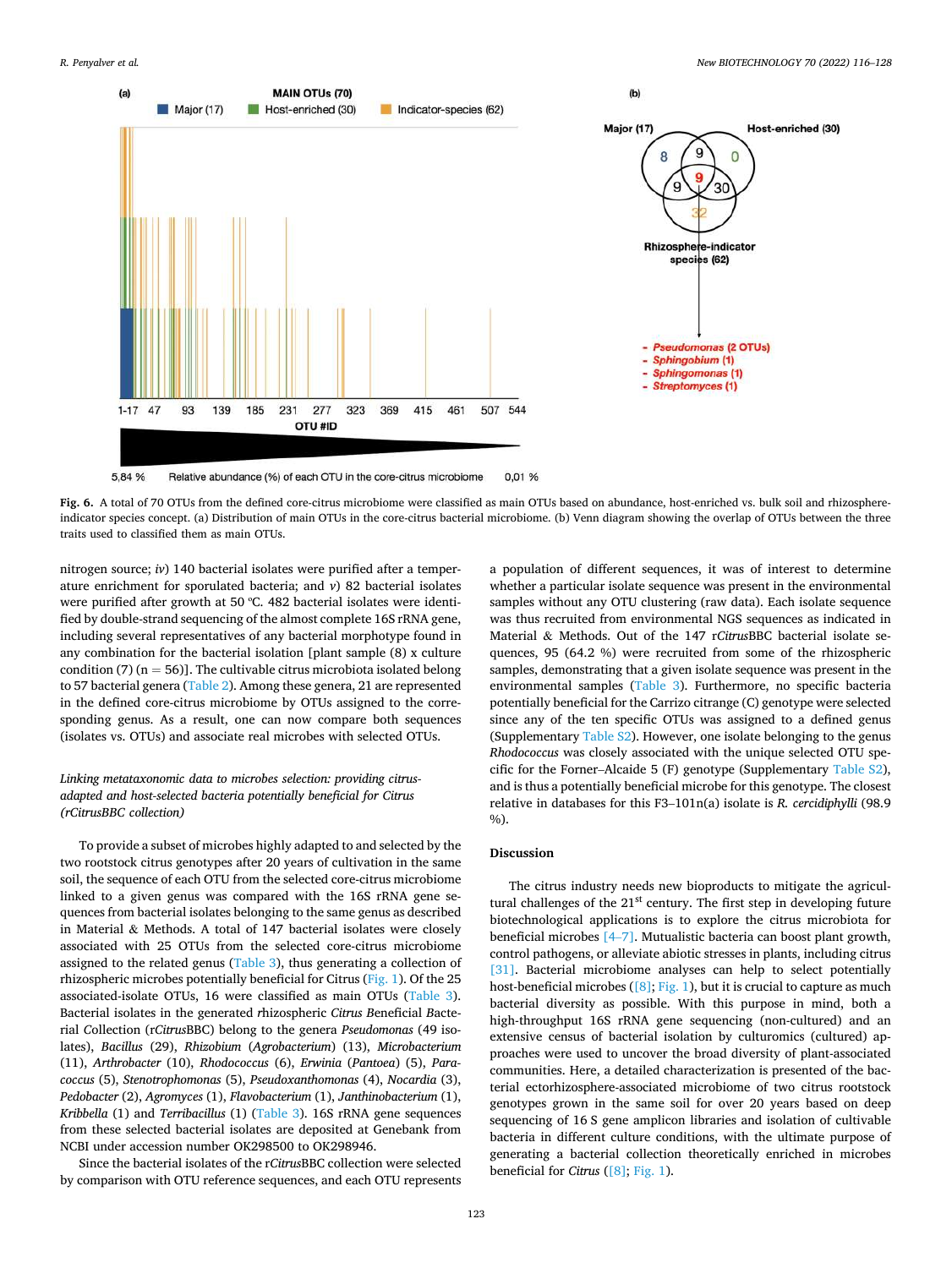<span id="page-7-0"></span>

Fig. 6. A total of 70 OTUs from the defined core-citrus microbiome were classified as main OTUs based on abundance, host-enriched vs. bulk soil and rhizosphereindicator species concept. (a) Distribution of main OTUs in the core-citrus bacterial microbiome. (b) Venn diagram showing the overlap of OTUs between the three traits used to classified them as main OTUs.

nitrogen source; *iv*) 140 bacterial isolates were purified after a temperature enrichment for sporulated bacteria; and *v*) 82 bacterial isolates were purified after growth at 50 ºC. 482 bacterial isolates were identified by double-strand sequencing of the almost complete 16S rRNA gene, including several representatives of any bacterial morphotype found in any combination for the bacterial isolation [plant sample (8) x culture condition (7) ( $n = 56$ )]. The cultivable citrus microbiota isolated belong to 57 bacterial genera ([Table 2](#page-8-0)). Among these genera, 21 are represented in the defined core-citrus microbiome by OTUs assigned to the corresponding genus. As a result, one can now compare both sequences (isolates vs. OTUs) and associate real microbes with selected OTUs.

## *Linking metataxonomic data to microbes selection: providing citrusadapted and host-selected bacteria potentially beneficial for Citrus (rCitrusBBC collection)*

To provide a subset of microbes highly adapted to and selected by the two rootstock citrus genotypes after 20 years of cultivation in the same soil, the sequence of each OTU from the selected core-citrus microbiome linked to a given genus was compared with the 16S rRNA gene sequences from bacterial isolates belonging to the same genus as described in Material & Methods. A total of 147 bacterial isolates were closely associated with 25 OTUs from the selected core-citrus microbiome assigned to the related genus [\(Table 3\)](#page-9-0), thus generating a collection of rhizospheric microbes potentially beneficial for Citrus [\(Fig. 1\)](#page-1-0). Of the 25 associated-isolate OTUs, 16 were classified as main OTUs ([Table 3](#page-9-0)). Bacterial isolates in the generated *r*hizospheric *Citrus B*eneficial *B*acterial *C*ollection (r*Citrus*BBC) belong to the genera *Pseudomonas* (49 isolates), *Bacillus* (29), *Rhizobium* (*Agrobacterium*) (13), *Microbacterium*  (11), *Arthrobacter* (10), *Rhodococcus* (6), *Erwinia* (*Pantoea*) (5), *Paracoccus* (5), *Stenotrophomonas* (5), *Pseudoxanthomonas* (4), *Nocardia* (3), *Pedobacter* (2), *Agromyces* (1), *Flavobacterium* (1), *Janthinobacterium* (1), *Kribbella* (1) and *Terribacillus* (1) ([Table 3](#page-9-0)). 16S rRNA gene sequences from these selected bacterial isolates are deposited at Genebank from NCBI under accession number OK298500 to OK298946.

Since the bacterial isolates of the r*Citrus*BBC collection were selected by comparison with OTU reference sequences, and each OTU represents

a population of different sequences, it was of interest to determine whether a particular isolate sequence was present in the environmental samples without any OTU clustering (raw data). Each isolate sequence was thus recruited from environmental NGS sequences as indicated in Material & Methods. Out of the 147 r*Citrus*BBC bacterial isolate sequences, 95 (64.2 %) were recruited from some of the rhizospheric samples, demonstrating that a given isolate sequence was present in the environmental samples [\(Table 3](#page-9-0)). Furthermore, no specific bacteria potentially beneficial for the Carrizo citrange (C) genotype were selected since any of the ten specific OTUs was assigned to a defined genus (Supplementary Table S2). However, one isolate belonging to the genus *Rhodococcus* was closely associated with the unique selected OTU specific for the Forner–Alcaide 5 (F) genotype (Supplementary Table S2), and is thus a potentially beneficial microbe for this genotype. The closest relative in databases for this F3–101n(a) isolate is *R. cercidiphylli* (98.9  $\frac{9}{0}$ .

## **Discussion**

The citrus industry needs new bioproducts to mitigate the agricultural challenges of the  $21<sup>st</sup>$  century. The first step in developing future biotechnological applications is to explore the citrus microbiota for beneficial microbes [\[4](#page-12-0)–7]. Mutualistic bacteria can boost plant growth, control pathogens, or alleviate abiotic stresses in plants, including citrus [\[31\]](#page-12-0). Bacterial microbiome analyses can help to select potentially host-beneficial microbes ( $[8]$ ; [Fig. 1](#page-1-0)), but it is crucial to capture as much bacterial diversity as possible. With this purpose in mind, both a high-throughput 16S rRNA gene sequencing (non-cultured) and an extensive census of bacterial isolation by culturomics (cultured) approaches were used to uncover the broad diversity of plant-associated communities. Here, a detailed characterization is presented of the bacterial ectorhizosphere-associated microbiome of two citrus rootstock genotypes grown in the same soil for over 20 years based on deep sequencing of 16 S gene amplicon libraries and isolation of cultivable bacteria in different culture conditions, with the ultimate purpose of generating a bacterial collection theoretically enriched in microbes beneficial for *Citrus* ([\[8\]](#page-12-0); [Fig. 1\)](#page-1-0).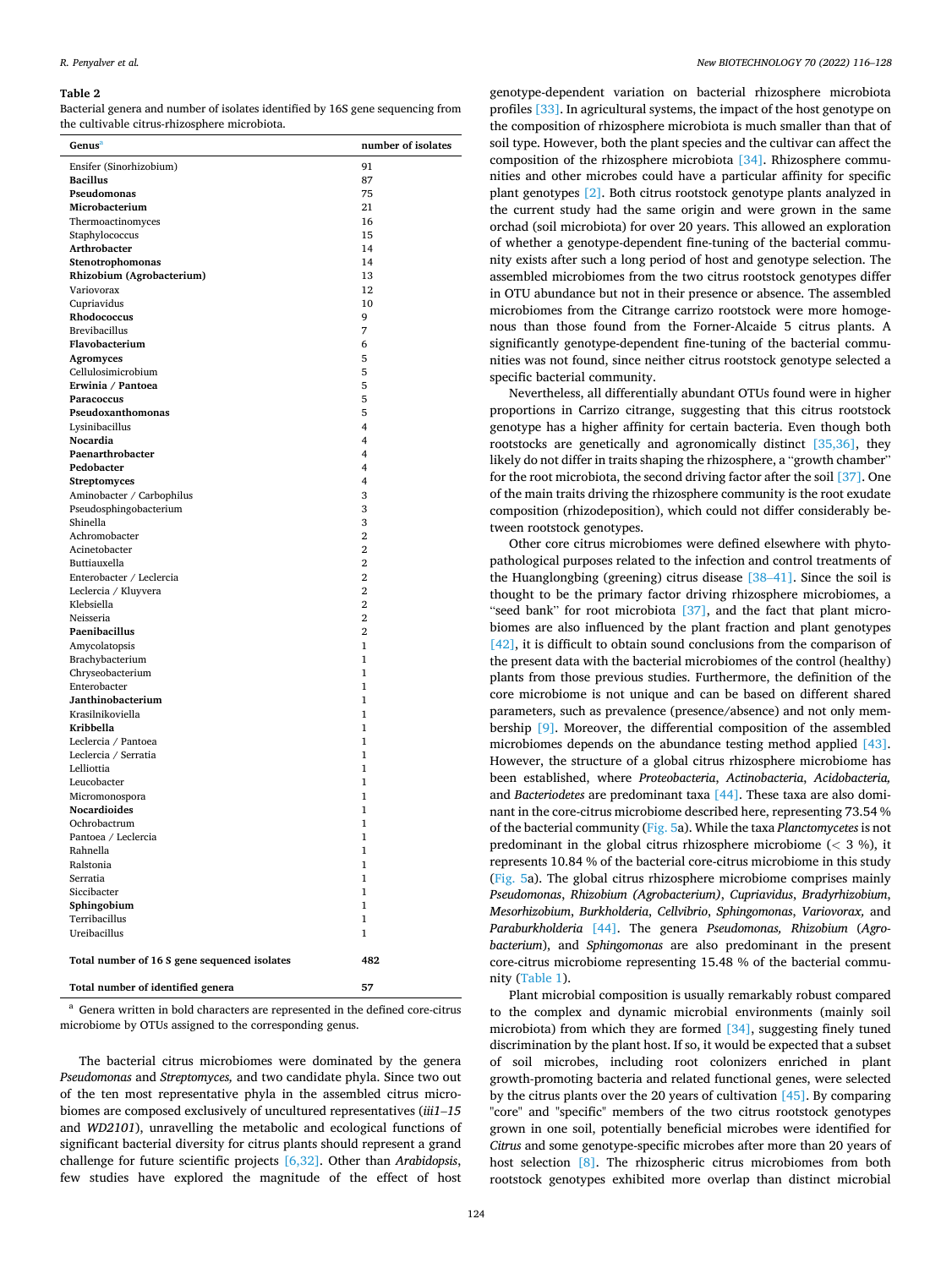#### <span id="page-8-0"></span>*R. Penyalver et al.*

#### **Table 2**

Bacterial genera and number of isolates identified by 16S gene sequencing from the cultivable citrus-rhizosphere microbiota.

| Genus <sup>a</sup>                           | number of isolates |
|----------------------------------------------|--------------------|
| Ensifer (Sinorhizobium)                      | 91                 |
| <b>Bacillus</b>                              | 87                 |
| Pseudomonas                                  | 75                 |
| Microbacterium                               | 21                 |
| Thermoactinomyces                            | 16                 |
| Staphylococcus                               | 15                 |
| Arthrobacter                                 | 14                 |
| Stenotrophomonas                             | 14                 |
| Rhizobium (Agrobacterium)                    | 13                 |
| Variovorax                                   | 12                 |
| Cupriavidus                                  | 10                 |
| Rhodococcus                                  | 9                  |
| <b>Brevibacillus</b>                         | 7                  |
| Flavobacterium                               | 6                  |
| <b>Agromyces</b>                             | 5                  |
| Cellulosimicrobium                           | 5                  |
| Erwinia / Pantoea                            | 5                  |
| Paracoccus                                   | 5                  |
| Pseudoxanthomonas                            | 5<br>4             |
| Lysinibacillus<br>Nocardia                   | 4                  |
| Paenarthrobacter                             | 4                  |
| Pedobacter                                   | 4                  |
| <b>Streptomyces</b>                          | 4                  |
| Aminobacter / Carbophilus                    | 3                  |
| Pseudosphingobacterium                       | 3                  |
| Shinella                                     | 3                  |
| Achromobacter                                | $\overline{2}$     |
| Acinetobacter                                | $\overline{2}$     |
| Buttiauxella                                 | $\overline{2}$     |
| Enterobacter / Leclercia                     | $\overline{2}$     |
| Leclercia / Kluyvera                         | 2                  |
| Klebsiella                                   | $\mathbf{2}$       |
| Neisseria                                    | $\overline{2}$     |
| Paenibacillus                                | $\overline{2}$     |
| Amycolatopsis                                | 1                  |
| Brachybacterium                              | 1                  |
| Chryseobacterium                             | 1                  |
| Enterobacter                                 | 1                  |
| Janthinobacterium                            | 1<br>$\mathbf{1}$  |
| Krasilnikoviella<br>Kribbella                | $\mathbf{1}$       |
| Leclercia / Pantoea                          | 1                  |
| Leclercia / Serratia                         | 1                  |
| Lelliottia                                   | 1                  |
| Leucobacter                                  | 1                  |
| Micromonospora                               | 1                  |
| Nocardioides                                 | 1                  |
| Ochrobactrum                                 | 1                  |
| Pantoea / Leclercia                          | 1                  |
| Rahnella                                     | 1                  |
| Ralstonia                                    | 1                  |
| Serratia                                     | 1                  |
| Siccibacter                                  | 1                  |
| Sphingobium                                  | $\mathbf{1}$       |
| Terribacillus                                | 1                  |
| Ureibacillus                                 | 1                  |
| Total number of 16 S gene sequenced isolates | 482                |
| Total number of identified genera            | 57                 |

<sup>a</sup> Genera written in bold characters are represented in the defined core-citrus microbiome by OTUs assigned to the corresponding genus.

The bacterial citrus microbiomes were dominated by the genera *Pseudomonas* and *Streptomyces,* and two candidate phyla. Since two out of the ten most representative phyla in the assembled citrus microbiomes are composed exclusively of uncultured representatives (*iii1*–*15*  and *WD2101*), unravelling the metabolic and ecological functions of significant bacterial diversity for citrus plants should represent a grand challenge for future scientific projects [\[6,32\]](#page-12-0). Other than *Arabidopsis*, few studies have explored the magnitude of the effect of host

genotype-dependent variation on bacterial rhizosphere microbiota profiles [\[33\]](#page-12-0). In agricultural systems, the impact of the host genotype on the composition of rhizosphere microbiota is much smaller than that of soil type. However, both the plant species and the cultivar can affect the composition of the rhizosphere microbiota [\[34\].](#page-12-0) Rhizosphere communities and other microbes could have a particular affinity for specific plant genotypes [\[2\].](#page-12-0) Both citrus rootstock genotype plants analyzed in the current study had the same origin and were grown in the same orchad (soil microbiota) for over 20 years. This allowed an exploration of whether a genotype-dependent fine-tuning of the bacterial community exists after such a long period of host and genotype selection. The assembled microbiomes from the two citrus rootstock genotypes differ in OTU abundance but not in their presence or absence. The assembled microbiomes from the Citrange carrizo rootstock were more homogenous than those found from the Forner-Alcaide 5 citrus plants. A significantly genotype-dependent fine-tuning of the bacterial communities was not found, since neither citrus rootstock genotype selected a specific bacterial community.

Nevertheless, all differentially abundant OTUs found were in higher proportions in Carrizo citrange, suggesting that this citrus rootstock genotype has a higher affinity for certain bacteria. Even though both rootstocks are genetically and agronomically distinct [\[35,36\],](#page-12-0) they likely do not differ in traits shaping the rhizosphere, a "growth chamber" for the root microbiota, the second driving factor after the soil [\[37\]](#page-12-0). One of the main traits driving the rhizosphere community is the root exudate composition (rhizodeposition), which could not differ considerably between rootstock genotypes.

Other core citrus microbiomes were defined elsewhere with phytopathological purposes related to the infection and control treatments of the Huanglongbing (greening) citrus disease [38–[41\]](#page-12-0). Since the soil is thought to be the primary factor driving rhizosphere microbiomes, a "seed bank" for root microbiota [\[37\]](#page-12-0), and the fact that plant microbiomes are also influenced by the plant fraction and plant genotypes [\[42\]](#page-12-0), it is difficult to obtain sound conclusions from the comparison of the present data with the bacterial microbiomes of the control (healthy) plants from those previous studies. Furthermore, the definition of the core microbiome is not unique and can be based on different shared parameters, such as prevalence (presence/absence) and not only membership [\[9\]](#page-12-0). Moreover, the differential composition of the assembled microbiomes depends on the abundance testing method applied [\[43\]](#page-12-0). However, the structure of a global citrus rhizosphere microbiome has been established, where *Proteobacteria*, *Actinobacteria*, *Acidobacteria,*  and *Bacteriodetes* are predominant taxa [\[44\].](#page-12-0) These taxa are also dominant in the core-citrus microbiome described here, representing 73.54 % of the bacterial community ([Fig. 5](#page-5-0)a). While the taxa *Planctomycetes* is not predominant in the global citrus rhizosphere microbiome (*<* 3 %), it represents 10.84 % of the bacterial core-citrus microbiome in this study ([Fig. 5](#page-5-0)a). The global citrus rhizosphere microbiome comprises mainly *Pseudomonas*, *Rhizobium (Agrobacterium)*, *Cupriavidus*, *Bradyrhizobium*, *Mesorhizobium*, *Burkholderia*, *Cellvibrio*, *Sphingomonas*, *Variovorax,* and *Paraburkholderia* [\[44\]](#page-12-0). The genera *Pseudomonas, Rhizobium* (*Agrobacterium*), and *Sphingomonas* are also predominant in the present core-citrus microbiome representing 15.48 % of the bacterial community ([Table 1](#page-6-0)).

Plant microbial composition is usually remarkably robust compared to the complex and dynamic microbial environments (mainly soil microbiota) from which they are formed [\[34\]](#page-12-0), suggesting finely tuned discrimination by the plant host. If so, it would be expected that a subset of soil microbes, including root colonizers enriched in plant growth-promoting bacteria and related functional genes, were selected by the citrus plants over the 20 years of cultivation [\[45\]](#page-12-0). By comparing "core" and "specific" members of the two citrus rootstock genotypes grown in one soil, potentially beneficial microbes were identified for *Citrus* and some genotype-specific microbes after more than 20 years of host selection [\[8\].](#page-12-0) The rhizospheric citrus microbiomes from both rootstock genotypes exhibited more overlap than distinct microbial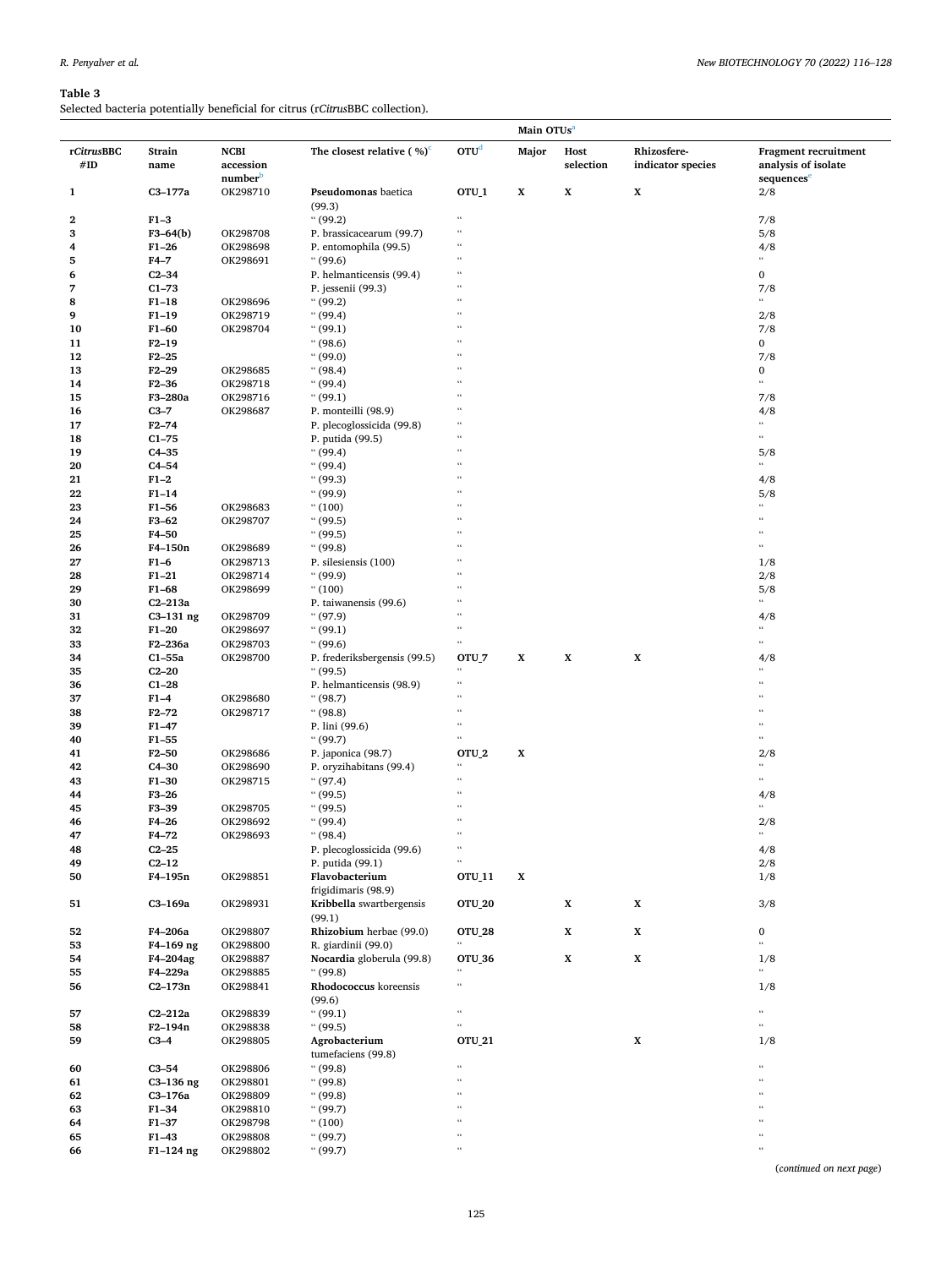## <span id="page-9-0"></span>**Table 3**

Selected bacteria potentially beneficial for citrus (r*Citrus*BBC collection).

|                   |                |                                                 |                                            |                                              | Main OTUs <sup>a</sup> |                   |                                  |                                                                              |
|-------------------|----------------|-------------------------------------------------|--------------------------------------------|----------------------------------------------|------------------------|-------------------|----------------------------------|------------------------------------------------------------------------------|
| rCitrusBBC<br>#ID | Strain<br>name | <b>NCBI</b><br>accession<br>number <sup>b</sup> | The closest relative ( $\%$ ) <sup>c</sup> | OTU <sup>d</sup>                             | Major                  | Host<br>selection | Rhizosfere-<br>indicator species | <b>Fragment recruitment</b><br>analysis of isolate<br>sequences <sup>e</sup> |
| $\mathbf{1}$      | $C3-177a$      | OK298710                                        | Pseudomonas baetica<br>(99.3)              | OTU <sub>1</sub>                             | X                      | $\mathbf X$       | $\mathbf X$                      | 2/8                                                                          |
| 2                 | $F1-3$         |                                                 | (99.2)                                     | $\epsilon\epsilon$                           |                        |                   |                                  | 7/8                                                                          |
| 3                 | $F3-64(b)$     | OK298708                                        | P. brassicacearum (99.7)                   | $\epsilon\epsilon$                           |                        |                   |                                  | 5/8                                                                          |
| 4                 | $F1 - 26$      | OK298698                                        | P. entomophila (99.5)                      | $\epsilon\epsilon$                           |                        |                   |                                  | 4/8                                                                          |
| 5                 | $F4-7$         | OK298691                                        | (99.6)                                     | $\epsilon\epsilon$                           |                        |                   |                                  | 66                                                                           |
| 6                 | $C2-34$        |                                                 | P. helmanticensis (99.4)                   | $\epsilon\epsilon$                           |                        |                   |                                  | 0                                                                            |
| 7                 | $C1-73$        |                                                 | P. jessenii (99.3)                         | $\epsilon$                                   |                        |                   |                                  | 7/8                                                                          |
| 8                 | $F1-18$        | OK298696                                        | (99.2)                                     | $\epsilon$                                   |                        |                   |                                  | $\epsilon$                                                                   |
| 9                 | $F1-19$        | OK298719                                        | (99.4)                                     | $\epsilon$                                   |                        |                   |                                  | 2/8                                                                          |
|                   |                |                                                 | (99.1)                                     | $\epsilon$                                   |                        |                   |                                  |                                                                              |
| 10                | $F1-60$        | OK298704                                        |                                            | $\epsilon$                                   |                        |                   |                                  | 7/8                                                                          |
| 11                | $F2-19$        |                                                 | (98.6)                                     | $\epsilon$                                   |                        |                   |                                  | $\mathbf{0}$                                                                 |
| 12                | $F2 - 25$      |                                                 | (99.0)                                     | $\epsilon$                                   |                        |                   |                                  | 7/8                                                                          |
| 13                | $F2-29$        | OK298685                                        | ``(98.4)                                   | $\epsilon$                                   |                        |                   |                                  | 0<br>$\omega$                                                                |
| 14                | $F2 - 36$      | OK298718                                        | ``(99.4)                                   | $\epsilon$                                   |                        |                   |                                  |                                                                              |
| 15                | F3-280a        | OK298716                                        | (99.1)                                     |                                              |                        |                   |                                  | 7/8                                                                          |
| 16                | $C3-7$         | OK298687                                        | P. monteilli (98.9)                        |                                              |                        |                   |                                  | 4/8                                                                          |
| 17                | $F2 - 74$      |                                                 | P. plecoglossicida (99.8)                  | $\epsilon$                                   |                        |                   |                                  | 66                                                                           |
| 18                | $C1-75$        |                                                 | P. putida (99.5)                           | $\epsilon$                                   |                        |                   |                                  | $\omega$                                                                     |
| 19                | $C4-35$        |                                                 | (99.4)                                     | $\epsilon$                                   |                        |                   |                                  | 5/8                                                                          |
| 20                | $C4-54$        |                                                 | (99.4)                                     | $\epsilon$                                   |                        |                   |                                  | 66                                                                           |
| 21                | $F1-2$         |                                                 | (99.3)                                     | $\epsilon$                                   |                        |                   |                                  | 4/8                                                                          |
| 22                | $F1-14$        |                                                 | (99.9)                                     | $\epsilon$                                   |                        |                   |                                  | 5/8                                                                          |
| 23                | $F1-56$        | OK298683                                        | ``(100)                                    |                                              |                        |                   |                                  | 4                                                                            |
| 24                | F3-62          | OK298707                                        | (99.5)                                     | $\epsilon$                                   |                        |                   |                                  | 4                                                                            |
| 25                | F4-50          |                                                 | (99.5)                                     | $\epsilon$                                   |                        |                   |                                  | 4                                                                            |
| 26                | F4-150n        | OK298689                                        | (99.8)                                     | $\epsilon$                                   |                        |                   |                                  | cc.                                                                          |
| 27                | $F1-6$         | OK298713                                        | P. silesiensis (100)                       | $\epsilon$                                   |                        |                   |                                  | 1/8                                                                          |
| 28                | $F1 - 21$      | OK298714                                        | (99.9)                                     | $^{16}$                                      |                        |                   |                                  | 2/8                                                                          |
| 29                | $F1 - 68$      | OK298699                                        | (100)                                      | $\epsilon$                                   |                        |                   |                                  | 5/8                                                                          |
| 30                | $C2-213a$      |                                                 | P. taiwanensis (99.6)                      | $\epsilon$                                   |                        |                   |                                  | cc.                                                                          |
| 31                | $C3-131$ ng    | OK298709                                        | (97.9)                                     | $\epsilon$                                   |                        |                   |                                  | 4/8                                                                          |
| 32                | $F1-20$        | OK298697                                        | (99.1)                                     | $\epsilon\epsilon$                           |                        |                   |                                  | cc.                                                                          |
| 33                | F2-236a        | OK298703                                        | (99.6)                                     | $\epsilon\epsilon$                           |                        |                   |                                  | cc.                                                                          |
| 34                | $C1-55a$       | OK298700                                        | P. frederiksbergensis (99.5)               | OTU_7                                        | X                      | $\mathbf X$       | $\mathbf x$                      | 4/8                                                                          |
| 35                | $C2-20$        |                                                 | (99.5)                                     | $\epsilon\epsilon$                           |                        |                   |                                  | 44                                                                           |
|                   | $C1-28$        |                                                 |                                            | $\epsilon\epsilon$                           |                        |                   |                                  | 4                                                                            |
| 36                |                |                                                 | P. helmanticensis (98.9)                   | $\epsilon$                                   |                        |                   |                                  |                                                                              |
| 37                | $F1-4$         | OK298680                                        | (98.7)                                     | $\epsilon$                                   |                        |                   |                                  | ٤ć.                                                                          |
| 38                | $F2 - 72$      | OK298717                                        | (98.8)                                     | $\epsilon\epsilon$                           |                        |                   |                                  | $\epsilon\epsilon$                                                           |
| 39                | $F1 - 47$      |                                                 | P. lini (99.6)                             | $\epsilon\epsilon$                           |                        |                   |                                  | cc.                                                                          |
| 40                | $F1 - 55$      |                                                 | (99.7)                                     |                                              |                        |                   |                                  |                                                                              |
| 41                | $F2-50$        | OK298686                                        | P. japonica (98.7)                         | OTU_2                                        | $\mathbf x$            |                   |                                  | 2/8                                                                          |
| 42                | $C4-30$        | OK298690                                        | P. oryzihabitans (99.4)                    | $\epsilon\epsilon$                           |                        |                   |                                  | $\epsilon\epsilon$                                                           |
| 43                | $F1-30$        | OK298715                                        | (97.4)                                     | $\epsilon$                                   |                        |                   |                                  | cc.                                                                          |
| 44                | $F3-26$        |                                                 | (99.5)                                     | $\epsilon$                                   |                        |                   |                                  | 4/8                                                                          |
| 45                | F3-39          | OK298705                                        | (99.5)                                     | $\epsilon$                                   |                        |                   |                                  | $^{44}$                                                                      |
| 46                | $F4-26$        | OK298692                                        | (99.4)                                     | $\epsilon\epsilon$                           |                        |                   |                                  | 2/8                                                                          |
| 47                | $F4-72$        | OK298693                                        | (98.4)                                     | $\epsilon\epsilon$                           |                        |                   |                                  | $\epsilon\epsilon$                                                           |
| 48                | $C2-25$        |                                                 | P. plecoglossicida (99.6)                  | $\boldsymbol{\epsilon}\boldsymbol{\epsilon}$ |                        |                   |                                  | $4/8$                                                                        |
| 49                | $C2-12$        |                                                 | P. putida (99.1)                           | $\mathfrak{c}\mathfrak{c}$                   |                        |                   |                                  | 2/8                                                                          |
| 50                | F4-195n        | OK298851                                        | Flavobacterium<br>frigidimaris (98.9)      | OTU_11                                       | X                      |                   |                                  | 1/8                                                                          |
| 51                | C3-169a        | OK298931                                        | Kribbella swartbergensis                   | <b>OTU_20</b>                                |                        | $\mathbf X$       | X                                | 3/8                                                                          |
| 52                | F4-206a        | OK298807                                        | (99.1)<br>Rhizobium herbae (99.0)          |                                              |                        | $\mathbf X$       | X                                | $\bf{0}$                                                                     |
|                   |                |                                                 |                                            | <b>OTU_28</b><br>$\epsilon\epsilon$          |                        |                   |                                  | $\alpha$                                                                     |
| 53                | F4-169 ng      | OK298800                                        | R. giardinii (99.0)                        |                                              |                        |                   |                                  |                                                                              |
| 54                | F4-204ag       | OK298887                                        | Nocardia globerula (99.8)                  | <b>OTU 36</b><br>$\epsilon$                  |                        | $\mathbf X$       | X                                | 1/8<br>$\epsilon$                                                            |
| 55                | F4-229a        | OK298885                                        | (99.8)                                     |                                              |                        |                   |                                  |                                                                              |
| 56                | $C2 - 173n$    | OK298841                                        | Rhodococcus koreensis<br>(99.6)            | $\epsilon\epsilon$                           |                        |                   |                                  | 1/8                                                                          |
| 57                | $C2-212a$      | OK298839                                        | (99.1)                                     | $\mathfrak{c}\mathfrak{c}$                   |                        |                   |                                  | $\epsilon\epsilon$                                                           |
| 58                | F2-194n        | OK298838                                        | (99.5)                                     | $\mathfrak{c}\mathfrak{c}$                   |                        |                   |                                  | $\epsilon\epsilon$                                                           |
| 59                | $C3-4$         | OK298805                                        | Agrobacterium                              | <b>OTU_21</b>                                |                        |                   | X                                | 1/8                                                                          |
|                   |                |                                                 | tumefaciens (99.8)                         | $\mathfrak{c}\mathfrak{c}$                   |                        |                   |                                  | $\epsilon$                                                                   |
| 60                | $C3-54$        | OK298806                                        | (99.8)                                     | $\epsilon$                                   |                        |                   |                                  |                                                                              |
| 61                | $C3-136$ ng    | OK298801                                        | (99.8)                                     |                                              |                        |                   |                                  |                                                                              |
| 62                | C3-176a        | OK298809                                        | (99.8)                                     | $\epsilon$                                   |                        |                   |                                  | 4                                                                            |
| 63                | $F1 - 34$      | OK298810                                        | (99.7)                                     | $\epsilon\epsilon$                           |                        |                   |                                  | $\epsilon\epsilon$                                                           |
| 64                | $F1 - 37$      | OK298798                                        | (100)                                      | $\epsilon$                                   |                        |                   |                                  | 4                                                                            |
| 65                | $F1 - 43$      | OK298808                                        | (99.7)                                     | $\epsilon\epsilon$                           |                        |                   |                                  | $\epsilon\,\epsilon$                                                         |
| 66                | F1-124 ng      | OK298802                                        | (99.7)                                     | $\mathfrak{c}\mathfrak{c}$                   |                        |                   |                                  | $\epsilon\,\epsilon$                                                         |

(*continued on next page*)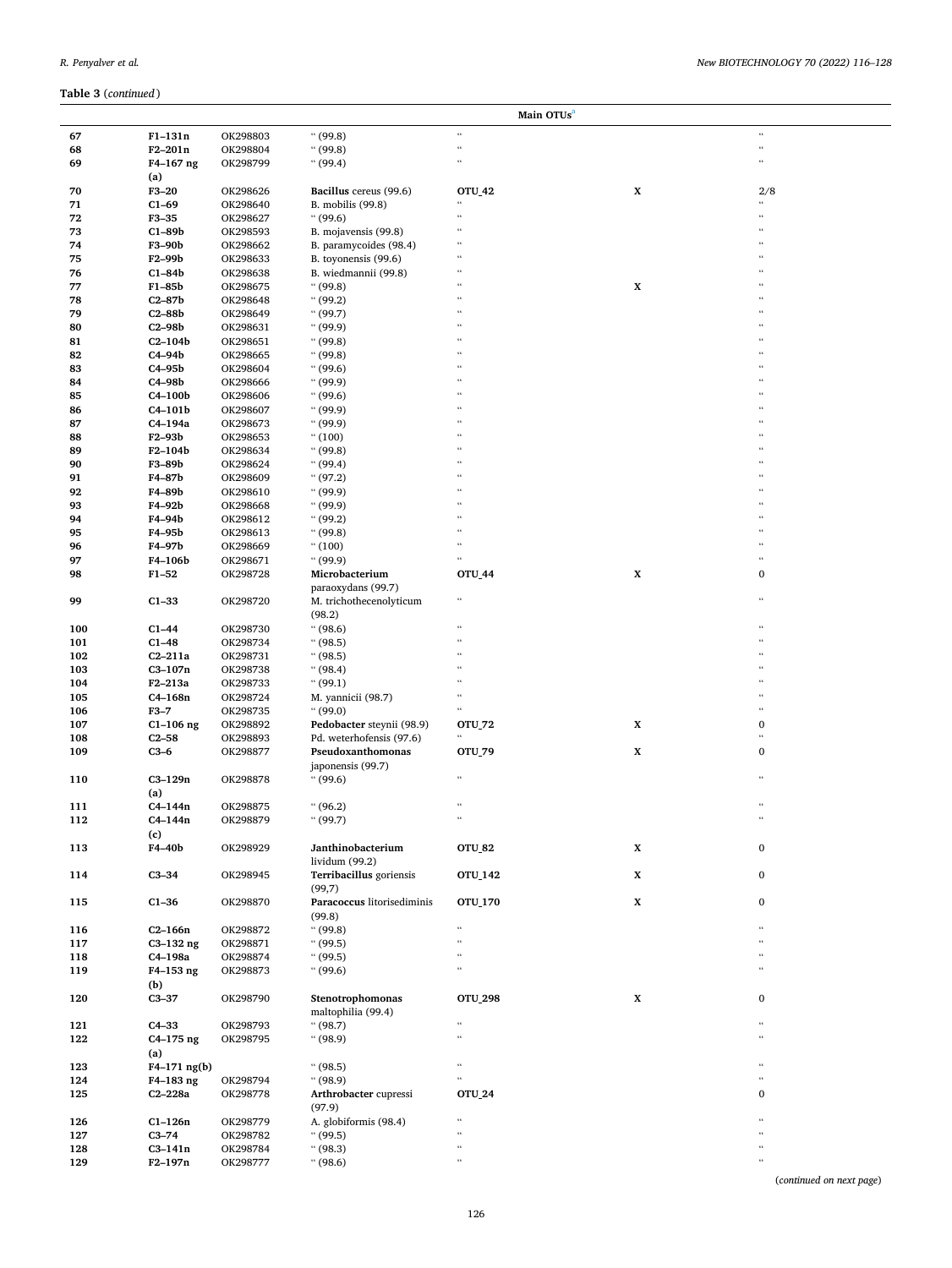|            |                        | Main OTUs <sup>a</sup> |                                           |                                      |             |                      |  |
|------------|------------------------|------------------------|-------------------------------------------|--------------------------------------|-------------|----------------------|--|
| 67         | $F1-131n$              | OK298803               | (99.8)                                    | $\epsilon$                           |             | $\epsilon$           |  |
| 68         | $F2 - 201n$            | OK298804               | (99.8)                                    | $\mathfrak{c}\mathfrak{c}$           |             | $\epsilon$           |  |
| 69         | F4-167 ng              | OK298799               | (99.4)                                    | $\epsilon$                           |             | $\epsilon\epsilon$   |  |
|            | (a)                    |                        |                                           |                                      |             |                      |  |
| 70         | $F3-20$                | OK298626               | Bacillus cereus (99.6)                    | OTU_42                               | X           | 2/8                  |  |
| 71         | $C1-69$                | OK298640               | B. mobilis (99.8)                         | $\epsilon$                           |             | $\epsilon\,\epsilon$ |  |
| 72         | $F3-35$                | OK298627               | (99.6)                                    | $\epsilon\epsilon$                   |             | $\epsilon$           |  |
| 73         | $C1-89b$               | OK298593               | B. mojavensis (99.8)                      | $\epsilon$                           |             | $\epsilon$           |  |
| 74         | F3-90b                 | OK298662               | B. paramycoides (98.4)                    | $\epsilon$                           |             |                      |  |
| 75         | F2-99b                 | OK298633               | B. toyonensis (99.6)                      | $\epsilon\epsilon$                   |             | $\epsilon$           |  |
| 76         | $C1-84b$               | OK298638               | B. wiedmannii (99.8)                      | $\epsilon$                           |             | $\epsilon$           |  |
| 77         | F1-85b                 | OK298675               | (99.8)                                    | $\epsilon$                           | $\mathbf X$ | $\epsilon$           |  |
| 78         | $C2 - 87b$             | OK298648               | (99.2)                                    | $\epsilon$                           |             | $\epsilon$           |  |
| 79         | $C2 - 88b$             | OK298649               | (99.7)                                    | $\epsilon$                           |             | $\epsilon$           |  |
| 80         | $C2-98b$               | OK298631               | (99.9)                                    | $\epsilon$                           |             | $\epsilon$           |  |
| 81         | $C2-104b$              | OK298651               | (99.8)                                    | $\epsilon$                           |             |                      |  |
| 82         | $C4-94b$               | OK298665               | (99.8)                                    | $\epsilon\epsilon$                   |             | $\epsilon$           |  |
| 83         | $C4-95b$               | OK298604               | (99.6)                                    | $\epsilon$                           |             | $\epsilon$           |  |
| 84         | C4-98b                 | OK298666               | (99.9)                                    | $\epsilon$                           |             | $\epsilon$           |  |
| 85         | C4-100b                | OK298606               | (99.6)                                    | $\epsilon$                           |             | $\epsilon$           |  |
| 86         | $C4-101b$              | OK298607               | (99.9)                                    | $\epsilon$                           |             | $\epsilon$           |  |
| 87         | C4-194a                | OK298673               | (99.9)                                    | $\epsilon$                           |             | $\epsilon$           |  |
| 88         | F2-93b                 | OK298653               | (100)                                     | $\epsilon$                           |             |                      |  |
| 89         | F2-104b                | OK298634               | (99.8)                                    | $\epsilon\epsilon$                   |             | $\epsilon$           |  |
| 90         | F3-89b                 | OK298624               | (99.4)                                    | $\epsilon$                           |             | $\epsilon$           |  |
| 91         | F4-87b                 | OK298609               | (97.2)                                    | $\epsilon$                           |             | $\epsilon$           |  |
| 92         | F4-89b                 | OK298610               | (99.9)                                    | $\epsilon$                           |             | $\epsilon$           |  |
| 93         | F4-92b                 | OK298668               | (99.9)                                    | $\epsilon$                           |             | $\epsilon$           |  |
| 94         | F4-94b                 | OK298612               | (99.2)                                    | $\epsilon$                           |             | $\epsilon$           |  |
| 95         | F4-95b                 | OK298613               | (99.8)                                    | $\epsilon$                           |             |                      |  |
| 96         | F4-97b                 | OK298669               | (100)                                     | $\epsilon$                           |             | $\epsilon$           |  |
| 97         | F4-106b                | OK298671               | (99.9)                                    | $\epsilon\epsilon$                   |             | $\epsilon$           |  |
| 98         | $F1 - 52$              | OK298728               | Microbacterium                            | <b>OTU_44</b>                        | $\mathbf X$ | 0                    |  |
|            |                        |                        | paraoxydans (99.7)                        |                                      |             |                      |  |
| 99         | $C1-33$                | OK298720               | M. trichothecenolyticum                   | $\epsilon$                           |             | $\epsilon$           |  |
|            |                        |                        | (98.2)                                    |                                      |             |                      |  |
| 100        | $C1-44$                | OK298730               | (98.6)                                    | $\epsilon$                           |             |                      |  |
| 101        | $C1-48$                |                        | (98.5)                                    | $\epsilon$                           |             | $\epsilon$           |  |
|            |                        | OK298734               |                                           | $\epsilon$                           |             | $\epsilon$           |  |
| 102<br>103 | $C2-211a$<br>$C3-107n$ | OK298731               | (98.5)                                    | $\epsilon$                           |             | $\epsilon$           |  |
|            |                        | OK298738               | (98.4)<br>(99.1)                          | $\epsilon$                           |             | $\epsilon$           |  |
| 104        | F2-213a                | OK298733               |                                           | $\epsilon$                           |             | $\epsilon$           |  |
| 105        | $C4-168n$              | OK298724               | M. yannicii (98.7)<br>(99.0)              | $\epsilon$                           |             | $\epsilon$           |  |
| 106        | $F3-7$                 | OK298735               |                                           |                                      |             | $\bf{0}$             |  |
| 107        | $C1-106$ ng            | OK298892               | Pedobacter steynii (98.9)                 | OTU_72<br>$\mathfrak{c}\mathfrak{c}$ | X           | $\epsilon\epsilon$   |  |
| 108        | $C2-58$                | OK298893<br>OK298877   | Pd. weterhofensis (97.6)                  | <b>OTU 79</b>                        |             | $\bf{0}$             |  |
| 109        | $C3-6$                 |                        | Pseudoxanthomonas                         |                                      | $\mathbf X$ |                      |  |
|            | $C3-129n$              |                        | japonensis (99.7)                         | $\epsilon\epsilon$                   |             | $\epsilon$           |  |
| 110        |                        | OK298878               | (99.6)                                    |                                      |             |                      |  |
|            | (a)                    |                        |                                           | $\epsilon$                           |             | $\epsilon\epsilon$   |  |
| 111        | $C4-144n$              | OK298875               | (96.2)                                    | $\epsilon\epsilon$                   |             | $\ddot{\phantom{a}}$ |  |
| 112        | $C4-144n$              | OK298879               | ``(99.7)                                  |                                      |             |                      |  |
|            | (c)                    |                        |                                           |                                      |             |                      |  |
| 113        | F4-40b                 | OK298929               | Janthinobacterium                         | OTU_82                               | X           | $\boldsymbol{0}$     |  |
| 114        | $C3-34$                | OK298945               | lividum (99.2)<br>Terribacillus goriensis | <b>OTU_142</b>                       | X           | $\bf{0}$             |  |
|            |                        |                        |                                           |                                      |             |                      |  |
|            |                        |                        | (99,7)<br>Paracoccus litorisediminis      |                                      | $\mathbf X$ | 0                    |  |
| 115        | $C1-36$                | OK298870               |                                           | <b>OTU_170</b>                       |             |                      |  |
|            |                        |                        | (99.8)                                    | $\epsilon\epsilon$                   |             | $\epsilon\epsilon$   |  |
| 116        | $C2-166n$              | OK298872               | (99.8)                                    | $\epsilon\epsilon$                   |             | 66                   |  |
| 117        | $C3-132$ ng<br>C4-198a | OK298871               | (99.5)                                    | $\epsilon$                           |             | $\epsilon\epsilon$   |  |
| 118<br>119 |                        | OK298874<br>OK298873   | (99.5)<br>(99.6)                          | $\epsilon\epsilon$                   |             | $\epsilon\epsilon$   |  |
|            | F4-153 ng              |                        |                                           |                                      |             |                      |  |
| 120        | (b)<br>$C3-37$         | OK298790               | Stenotrophomonas                          | <b>OTU_298</b>                       | $\mathbf X$ | 0                    |  |
|            |                        |                        |                                           |                                      |             |                      |  |
|            |                        |                        | maltophilia (99.4)<br>(98.7)              | $\epsilon\epsilon$                   |             | $\epsilon\epsilon$   |  |
| 121        | $C4-33$                | OK298793               |                                           | $\epsilon\epsilon$                   |             | $\epsilon$           |  |
| 122        | $C4-175$ ng            | OK298795               | (98.9)                                    |                                      |             |                      |  |
|            | (a)                    |                        |                                           | $\epsilon\epsilon$                   |             | $\epsilon$           |  |
| 123        | $F4-171$ ng(b)         |                        | (98.5)                                    | $\epsilon$                           |             | $\epsilon\epsilon$   |  |
| 124        | F4-183 ng              | OK298794               | (98.9)                                    |                                      |             |                      |  |
| 125        | $C2-228a$              | OK298778               | Arthrobacter cupressi                     | OTU_24                               |             | 0                    |  |
|            |                        |                        | (97.9)                                    | $\epsilon\epsilon$                   |             | $\epsilon$           |  |
| 126        | $C1-126n$              | OK298779               | A. globiformis (98.4)                     | $\mathfrak{c}\mathfrak{c}$           |             | 66                   |  |
| 127        | $C3-74$                | OK298782               | (99.5)                                    | $\epsilon$                           |             | $\epsilon$           |  |
| 128        | $C3-141n$              | OK298784               | (98.3)                                    | $\epsilon\epsilon$                   |             | $\epsilon\epsilon$   |  |
| 129        | F2-197n                | OK298777               | (98.6)                                    |                                      |             |                      |  |

(*continued on next page*)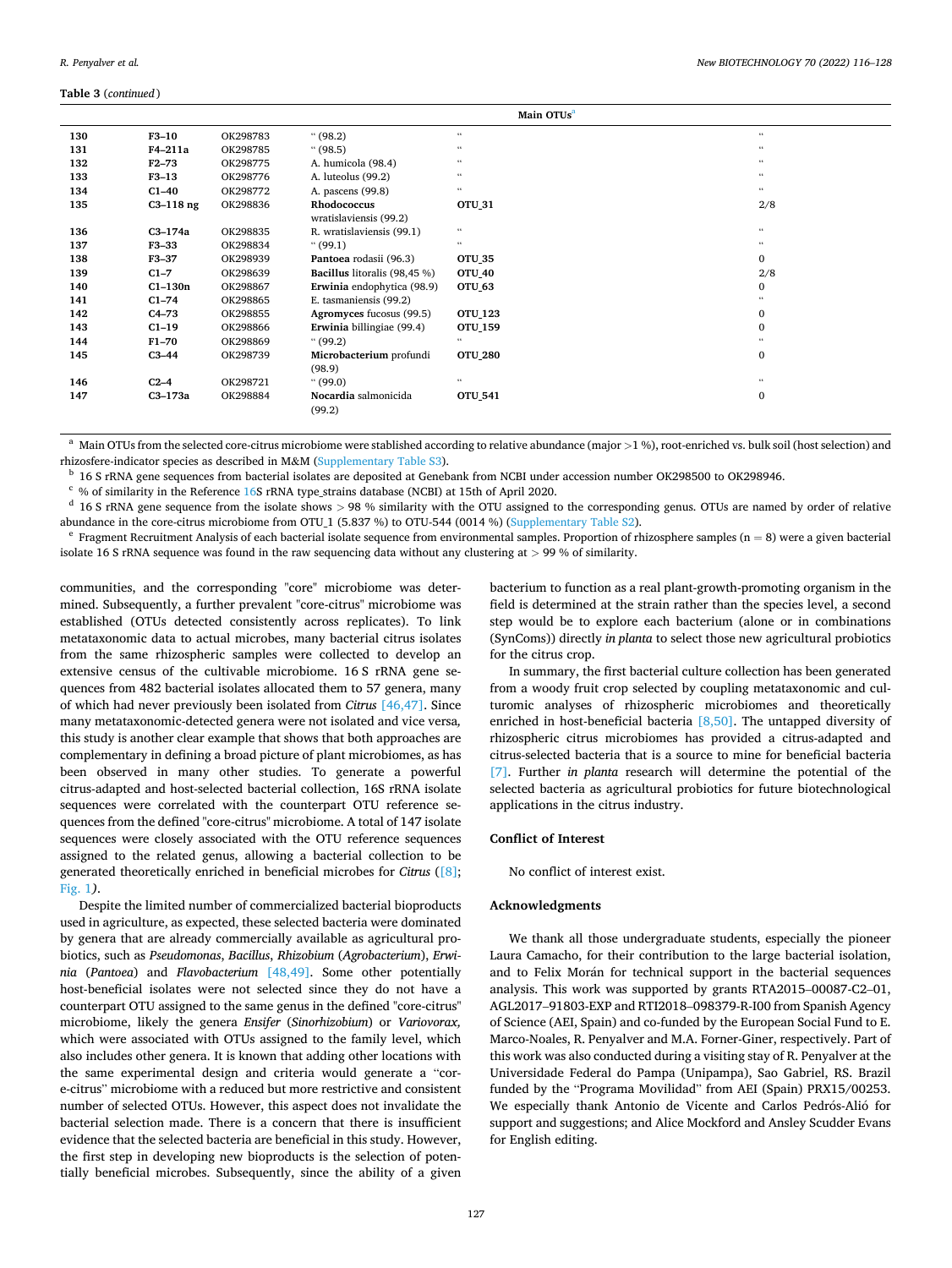#### <span id="page-11-0"></span>**Table 3** (*continued* )

|     |             |          |                                | Main OTUs <sup>a</sup> |                            |
|-----|-------------|----------|--------------------------------|------------------------|----------------------------|
| 130 | $F3-10$     | OK298783 | (98.2)                         | $\epsilon\,\epsilon$   | $\mathfrak{c}\mathfrak{c}$ |
| 131 | F4-211a     | OK298785 | (98.5)                         | $\epsilon\,\epsilon$   | $^{16}$                    |
| 132 | $F2 - 73$   | OK298775 | A. humicola (98.4)             | $\epsilon\,\epsilon$   | 66                         |
| 133 | $F3-13$     | OK298776 | A. luteolus (99.2)             | $\epsilon\,\epsilon$   | $\mathfrak{c}\mathfrak{c}$ |
| 134 | $C1-40$     | OK298772 | A. pascens (99.8)              | $\epsilon\,\epsilon$   | $\mathfrak{c}\mathfrak{c}$ |
| 135 | $C3-118$ ng | OK298836 | Rhodococcus                    | <b>OTU_31</b>          | 2/8                        |
|     |             |          | wratislaviensis (99.2)         |                        |                            |
| 136 | C3-174a     | OK298835 | R. wratislaviensis (99.1)      | $\epsilon\,\epsilon$   | $\mathfrak{c}\mathfrak{c}$ |
| 137 | $F3-33$     | OK298834 | (99.1)                         | $\epsilon\,\epsilon$   | 66                         |
| 138 | F3-37       | OK298939 | Pantoea rodasii (96.3)         | <b>OTU_35</b>          | $\Omega$                   |
| 139 | $C1-7$      | OK298639 | Bacillus litoralis (98,45 %)   | OTU_40                 | 2/8                        |
| 140 | $C1-130n$   | OK298867 | Erwinia endophytica (98.9)     | OTU_63                 | 0                          |
| 141 | $C1-74$     | OK298865 | E. tasmaniensis (99.2)         |                        |                            |
| 142 | $C4-73$     | OK298855 | Agromyces fucosus (99.5)       | <b>OTU_123</b>         | $\Omega$                   |
| 143 | $C1-19$     | OK298866 | Erwinia billingiae (99.4)      | OTU_159                | $\Omega$                   |
| 144 | $F1-70$     | OK298869 | (99.2)                         | $\epsilon\,\epsilon$   |                            |
| 145 | $C3-44$     | OK298739 | Microbacterium profundi        | <b>OTU 280</b>         | $\mathbf{0}$               |
|     |             |          | (98.9)                         |                        |                            |
| 146 | $C2-4$      | OK298721 | (99.0)                         | $\epsilon\,\epsilon$   | 66                         |
| 147 | C3-173a     | OK298884 | Nocardia salmonicida<br>(99.2) | <b>OTU_541</b>         | $\mathbf{0}$               |

<sup>a</sup> Main OTUs from the selected core-citrus microbiome were stablished according to relative abundance (major >1 %), root-enriched vs. bulk soil (host selection) and rhizosfere-indicator species as described in M&M (Supple

<sup>b</sup> 16 S rRNA gene sequences from bacterial isolates are deposited at Genebank from NCBI under accession number OK298500 to OK298946.<br><sup>c</sup> % of similarity in the Reference [16S](#page-12-0) rRNA type\_strains database (NCBI) at 15th of A

 $e$  Fragment Recruitment Analysis of each bacterial isolate sequence from environmental samples. Proportion of rhizosphere samples (n = 8) were a given bacterial isolate 16 S rRNA sequence was found in the raw sequencing data without any clustering at *>* 99 % of similarity.

communities, and the corresponding "core" microbiome was determined. Subsequently, a further prevalent "core-citrus" microbiome was established (OTUs detected consistently across replicates). To link metataxonomic data to actual microbes, many bacterial citrus isolates from the same rhizospheric samples were collected to develop an extensive census of the cultivable microbiome. 16 S rRNA gene sequences from 482 bacterial isolates allocated them to 57 genera, many of which had never previously been isolated from *Citrus* [\[46,47\]](#page-12-0). Since many metataxonomic-detected genera were not isolated and vice versa*,*  this study is another clear example that shows that both approaches are complementary in defining a broad picture of plant microbiomes, as has been observed in many other studies. To generate a powerful citrus-adapted and host-selected bacterial collection, 16S rRNA isolate sequences were correlated with the counterpart OTU reference sequences from the defined "core-citrus" microbiome. A total of 147 isolate sequences were closely associated with the OTU reference sequences assigned to the related genus, allowing a bacterial collection to be generated theoretically enriched in beneficial microbes for *Citrus* [\(\[8\]](#page-12-0); [Fig. 1](#page-1-0)*)*.

Despite the limited number of commercialized bacterial bioproducts used in agriculture, as expected, these selected bacteria were dominated by genera that are already commercially available as agricultural probiotics, such as *Pseudomonas*, *Bacillus*, *Rhizobium* (*Agrobacterium*), *Erwinia* (*Pantoea*) and *Flavobacterium* [\[48,49\].](#page-12-0) Some other potentially host-beneficial isolates were not selected since they do not have a counterpart OTU assigned to the same genus in the defined "core-citrus" microbiome, likely the genera *Ensifer* (*Sinorhizobium*) or *Variovorax,*  which were associated with OTUs assigned to the family level, which also includes other genera. It is known that adding other locations with the same experimental design and criteria would generate a "core-citrus" microbiome with a reduced but more restrictive and consistent number of selected OTUs. However, this aspect does not invalidate the bacterial selection made. There is a concern that there is insufficient evidence that the selected bacteria are beneficial in this study. However, the first step in developing new bioproducts is the selection of potentially beneficial microbes. Subsequently, since the ability of a given

bacterium to function as a real plant-growth-promoting organism in the field is determined at the strain rather than the species level, a second step would be to explore each bacterium (alone or in combinations (SynComs)) directly *in planta* to select those new agricultural probiotics for the citrus crop.

In summary, the first bacterial culture collection has been generated from a woody fruit crop selected by coupling metataxonomic and culturomic analyses of rhizospheric microbiomes and theoretically enriched in host-beneficial bacteria [\[8,50\]](#page-12-0). The untapped diversity of rhizospheric citrus microbiomes has provided a citrus-adapted and citrus-selected bacteria that is a source to mine for beneficial bacteria [\[7\].](#page-12-0) Further *in planta* research will determine the potential of the selected bacteria as agricultural probiotics for future biotechnological applications in the citrus industry.

## **Conflict of Interest**

No conflict of interest exist.

## **Acknowledgments**

We thank all those undergraduate students, especially the pioneer Laura Camacho, for their contribution to the large bacterial isolation, and to Felix Morán for technical support in the bacterial sequences analysis. This work was supported by grants RTA2015–00087-C2–01, AGL2017–91803-EXP and RTI2018–098379-R-I00 from Spanish Agency of Science (AEI, Spain) and co-funded by the European Social Fund to E. Marco-Noales, R. Penyalver and M.A. Forner-Giner, respectively. Part of this work was also conducted during a visiting stay of R. Penyalver at the Universidade Federal do Pampa (Unipampa), Sao Gabriel, RS. Brazil funded by the "Programa Movilidad" from AEI (Spain) PRX15/00253. We especially thank Antonio de Vicente and Carlos Pedrós-Alió for support and suggestions; and Alice Mockford and Ansley Scudder Evans for English editing.